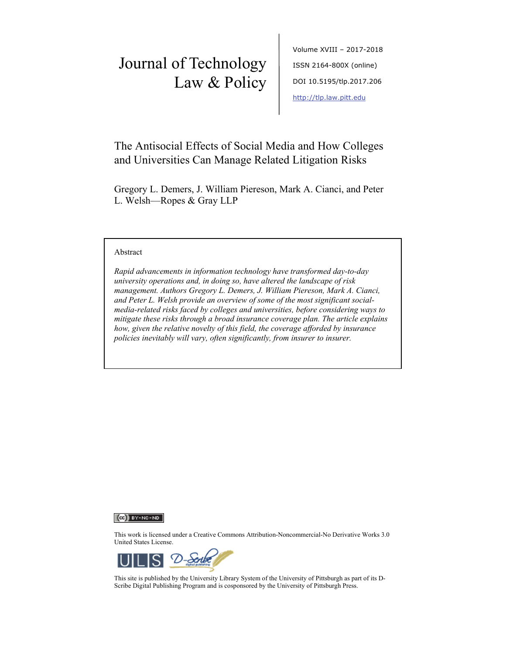# Journal of Technology Law & Policy

Volume XVIII – 2017-2018 ISSN 2164-800X (online) DOI 10.5195/tlp.2017.206 http://tlp.law.pitt.edu

The Antisocial Effects of Social Media and How Colleges and Universities Can Manage Related Litigation Risks

Gregory L. Demers, J. William Piereson, Mark A. Cianci, and Peter L. Welsh—Ropes & Gray LLP

# Abstract

*Rapid advancements in information technology have transformed day-to-day university operations and, in doing so, have altered the landscape of risk management. Authors Gregory L. Demers, J. William Piereson, Mark A. Cianci, and Peter L. Welsh provide an overview of some of the most significant socialmedia-related risks faced by colleges and universities, before considering ways to mitigate these risks through a broad insurance coverage plan. The article explains how, given the relative novelty of this field, the coverage afforded by insurance policies inevitably will vary, often significantly, from insurer to insurer.* 



This work is licensed under a Creative Commons Attribution-Noncommercial-No Derivative Works 3.0 United States License.



This site is published by the University Library System of the University of Pittsburgh as part of its D-Scribe Digital Publishing Program and is cosponsored by the University of Pittsburgh Press.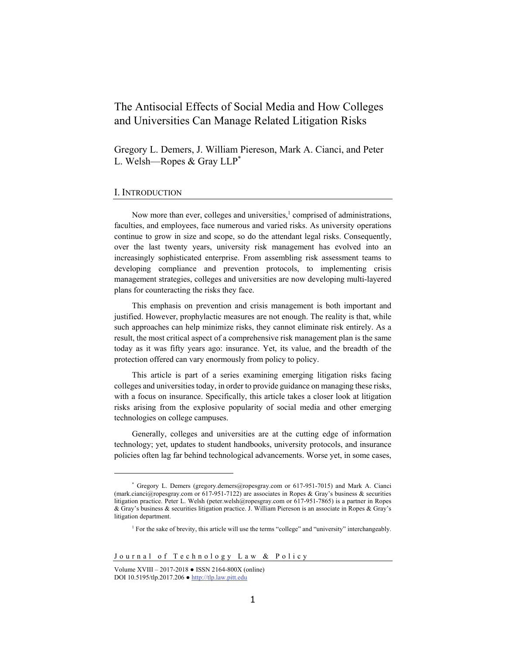# The Antisocial Effects of Social Media and How Colleges and Universities Can Manage Related Litigation Risks

Gregory L. Demers, J. William Piereson, Mark A. Cianci, and Peter L. Welsh—Ropes & Gray LLP\*

#### I. INTRODUCTION

l

Now more than ever, colleges and universities, $<sup>1</sup>$  comprised of administrations,</sup> faculties, and employees, face numerous and varied risks. As university operations continue to grow in size and scope, so do the attendant legal risks. Consequently, over the last twenty years, university risk management has evolved into an increasingly sophisticated enterprise. From assembling risk assessment teams to developing compliance and prevention protocols, to implementing crisis management strategies, colleges and universities are now developing multi-layered plans for counteracting the risks they face.

This emphasis on prevention and crisis management is both important and justified. However, prophylactic measures are not enough. The reality is that, while such approaches can help minimize risks, they cannot eliminate risk entirely. As a result, the most critical aspect of a comprehensive risk management plan is the same today as it was fifty years ago: insurance. Yet, its value, and the breadth of the protection offered can vary enormously from policy to policy.

This article is part of a series examining emerging litigation risks facing colleges and universities today, in order to provide guidance on managing these risks, with a focus on insurance. Specifically, this article takes a closer look at litigation risks arising from the explosive popularity of social media and other emerging technologies on college campuses.

Generally, colleges and universities are at the cutting edge of information technology; yet, updates to student handbooks, university protocols, and insurance policies often lag far behind technological advancements. Worse yet, in some cases,

<sup>\*</sup> Gregory L. Demers (gregory.demers@ropesgray.com or 617-951-7015) and Mark A. Cianci (mark.cianci@ropesgray.com or 617-951-7122) are associates in Ropes & Gray's business & securities litigation practice. Peter L. Welsh (peter.welsh@ropesgray.com or 617-951-7865) is a partner in Ropes & Gray's business & securities litigation practice. J. William Piereson is an associate in Ropes & Gray's litigation department.

<sup>1</sup> For the sake of brevity, this article will use the terms "college" and "university" interchangeably.

Volume XVIII – 2017-2018 ● ISSN 2164-800X (online) DOI 10.5195/tlp.2017.206 ● http://tlp.law.pitt.edu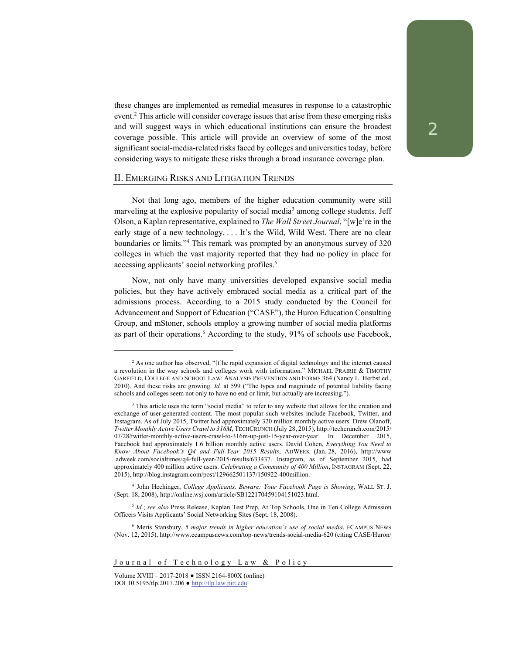these changes are implemented as remedial measures in response to a catastrophic event.<sup>2</sup> This article will consider coverage issues that arise from these emerging risks and will suggest ways in which educational institutions can ensure the broadest coverage possible. This article will provide an overview of some of the most significant social-media-related risks faced by colleges and universities today, before considering ways to mitigate these risks through a broad insurance coverage plan.

# II. EMERGING RISKS AND LITIGATION TRENDS

Not that long ago, members of the higher education community were still marveling at the explosive popularity of social media<sup>3</sup> among college students. Jeff Olson, a Kaplan representative, explained to *The Wall Street Journal*, "[w]e're in the early stage of a new technology. . . . It's the Wild, Wild West. There are no clear boundaries or limits."4 This remark was prompted by an anonymous survey of 320 colleges in which the vast majority reported that they had no policy in place for accessing applicants' social networking profiles.<sup>5</sup>

Now, not only have many universities developed expansive social media policies, but they have actively embraced social media as a critical part of the admissions process. According to a 2015 study conducted by the Council for Advancement and Support of Education ("CASE"), the Huron Education Consulting Group, and mStoner, schools employ a growing number of social media platforms as part of their operations.<sup>6</sup> According to the study, 91% of schools use Facebook,

4 John Hechinger, *College Applicants, Beware: Your Facebook Page is Showing*, WALL ST. J. (Sept. 18, 2008), http://online.wsj.com/article/SB122170459104151023.html.

<sup>&</sup>lt;sup>2</sup> As one author has observed, "[t]he rapid expansion of digital technology and the internet caused a revolution in the way schools and colleges work with information." MICHAEL PRAIRIE & TIMOTHY GARFIELD, COLLEGE AND SCHOOL LAW: ANALYSIS PREVENTION AND FORMS 364 (Nancy L. Herbst ed., 2010). And these risks are growing. *Id.* at 599 ("The types and magnitude of potential liability facing schools and colleges seem not only to have no end or limit, but actually are increasing.").

<sup>&</sup>lt;sup>3</sup> This article uses the term "social media" to refer to any website that allows for the creation and exchange of user-generated content. The most popular such websites include Facebook, Twitter, and Instagram. As of July 2015, Twitter had approximately 320 million monthly active users. Drew Olanoff, *Twitter Monthly Active Users Crawl to 316M*, TECHCRUNCH (July 28, 2015), http://techcrunch.com/2015/ 07/28/twitter-monthly-active-users-crawl-to-316m-up-just-15-year-over-year. In December 2015, Facebook had approximately 1.6 billion monthly active users. David Cohen, *Everything You Need to Know About Facebook's Q4 and Full-Year 2015 Results*, ADWEEK (Jan. 28, 2016), http://www .adweek.com/socialtimes/q4-full-year-2015-results/633437. Instagram, as of September 2015, had approximately 400 million active users. *Celebrating a Community of 400 Million*, INSTAGRAM (Sept. 22, 2015), http://blog.instagram.com/post/129662501137/150922-400million.

<sup>5</sup> *Id.*; *see also* Press Release, Kaplan Test Prep, At Top Schools, One in Ten College Admission Officers Visits Applicants' Social Networking Sites (Sept. 18, 2008).

<sup>6</sup> Meris Stansbury, *5 major trends in higher education's use of social media*, ECAMPUS NEWS (Nov. 12, 2015), http://www.ecampusnews.com/top-news/trends-social-media-620 (citing CASE/Huron/

Volume XVIII – 2017-2018 ● ISSN 2164-800X (online) DOI 10.5195/tlp.2017.206 ● http://tlp.law.pitt.edu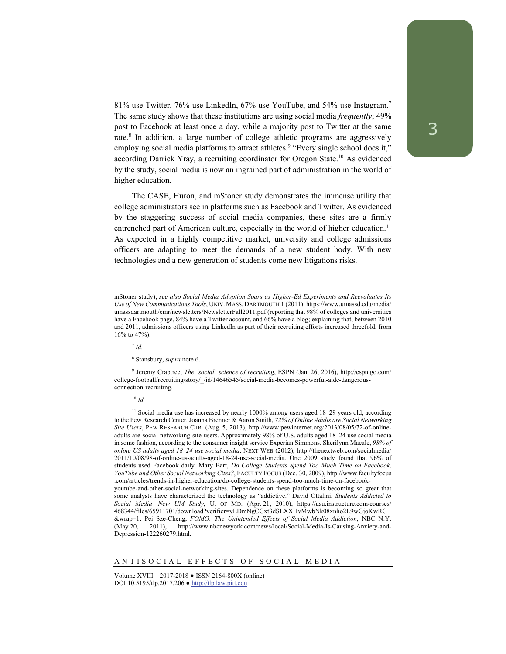81% use Twitter, 76% use LinkedIn, 67% use YouTube, and 54% use Instagram.7 The same study shows that these institutions are using social media *frequently*; 49% post to Facebook at least once a day, while a majority post to Twitter at the same rate.<sup>8</sup> In addition, a large number of college athletic programs are aggressively employing social media platforms to attract athletes.<sup>9</sup> "Every single school does it," according Darrick Yray, a recruiting coordinator for Oregon State.<sup>10</sup> As evidenced by the study, social media is now an ingrained part of administration in the world of higher education.

The CASE, Huron, and mStoner study demonstrates the immense utility that college administrators see in platforms such as Facebook and Twitter. As evidenced by the staggering success of social media companies, these sites are a firmly entrenched part of American culture, especially in the world of higher education.<sup>11</sup> As expected in a highly competitive market, university and college admissions officers are adapting to meet the demands of a new student body. With new technologies and a new generation of students come new litigations risks.

l

9 Jeremy Crabtree, *The 'social' science of recruiting*, ESPN (Jan. 26, 2016), http://espn.go.com/ college-football/recruiting/story/\_/id/14646545/social-media-becomes-powerful-aide-dangerousconnection-recruiting.

<sup>10</sup> *Id.*

mStoner study); *see also Social Media Adoption Soars as Higher-Ed Experiments and Reevaluates Its Use of New Communications Tools*, UNIV. MASS. DARTMOUTH 1 (2011), https://www.umassd.edu/media/ umassdartmouth/cmr/newsletters/NewsletterFall2011.pdf (reporting that 98% of colleges and universities have a Facebook page, 84% have a Twitter account, and 66% have a blog; explaining that, between 2010 and 2011, admissions officers using LinkedIn as part of their recruiting efforts increased threefold, from 16% to 47%).

<sup>7</sup> *Id.*

<sup>8</sup> Stansbury, *supra* note 6.

<sup>&</sup>lt;sup>11</sup> Social media use has increased by nearly 1000% among users aged 18-29 years old, according to the Pew Research Center. Joanna Brenner & Aaron Smith, *72% of Online Adults are Social Networking Site Users*, PEW RESEARCH CTR. (Aug. 5, 2013), http://www.pewinternet.org/2013/08/05/72-of-onlineadults-are-social-networking-site-users. Approximately 98% of U.S. adults aged 18–24 use social media in some fashion, according to the consumer insight service Experian Simmons. Sherilynn Macale, *98% of online US adults aged 18–24 use social media*, NEXT WEB (2012), http://thenextweb.com/socialmedia/ 2011/10/08/98-of-online-us-adults-aged-18-24-use-social-media. One 2009 study found that 96% of students used Facebook daily. Mary Bart, *Do College Students Spend Too Much Time on Facebook, YouTube and Other Social Networking Cites?*, FACULTY FOCUS (Dec. 30, 2009), http://www.facultyfocus .com/articles/trends-in-higher-education/do-college-students-spend-too-much-time-on-facebookyoutube-and-other-social-networking-sites. Dependence on these platforms is becoming so great that some analysts have characterized the technology as "addictive." David Ottalini, *Students Addicted to Social Media—New UM Study*, U. OF MD. (Apr. 21, 2010), https://usu.instructure.com/courses/ 468344/files/65911701/download?verifier=yLDmNgCGxt3dSLXXHvMwbNk08xnho2L9wGjoKwRC &wrap=1; Pei Sze-Cheng, *FOMO: The Unintended Effects of Social Media Addiction*, NBC N.Y. (May 20, 2011), http://www.nbcnewyork.com/news/local/Social-Media-Is-Causing-Anxiety-and-Depression-122260279.html.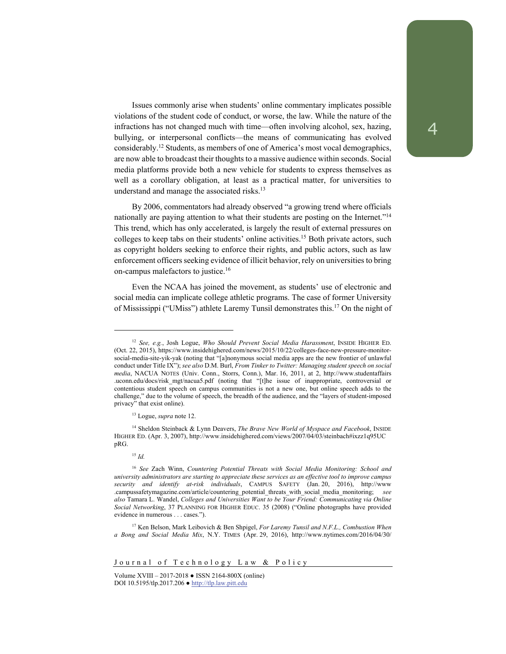Issues commonly arise when students' online commentary implicates possible violations of the student code of conduct, or worse, the law. While the nature of the infractions has not changed much with time—often involving alcohol, sex, hazing, bullying, or interpersonal conflicts—the means of communicating has evolved considerably.12 Students, as members of one of America's most vocal demographics, are now able to broadcast their thoughts to a massive audience within seconds. Social media platforms provide both a new vehicle for students to express themselves as well as a corollary obligation, at least as a practical matter, for universities to understand and manage the associated risks.<sup>13</sup>

By 2006, commentators had already observed "a growing trend where officials nationally are paying attention to what their students are posting on the Internet."14 This trend, which has only accelerated, is largely the result of external pressures on colleges to keep tabs on their students' online activities.<sup>15</sup> Both private actors, such as copyright holders seeking to enforce their rights, and public actors, such as law enforcement officers seeking evidence of illicit behavior, rely on universities to bring on-campus malefactors to justice.16

Even the NCAA has joined the movement, as students' use of electronic and social media can implicate college athletic programs. The case of former University of Mississippi ("UMiss") athlete Laremy Tunsil demonstrates this.17 On the night of

<sup>14</sup> Sheldon Steinback & Lynn Deavers, *The Brave New World of Myspace and Facebook*, INSIDE HIGHER ED. (Apr. 3, 2007), http://www.insidehighered.com/views/2007/04/03/steinbach#ixzz1q95UC pRG.

l

17 Ken Belson, Mark Leibovich & Ben Shpigel, *For Laremy Tunsil and N.F.L., Combustion When a Bong and Social Media Mix*, N.Y. TIMES (Apr. 29, 2016), http://www.nytimes.com/2016/04/30/

<sup>12</sup> *See, e.g.*, Josh Logue, *Who Should Prevent Social Media Harassment*, INSIDE HIGHER ED. (Oct. 22, 2015), https://www.insidehighered.com/news/2015/10/22/colleges-face-new-pressure-monitorsocial-media-site-yik-yak (noting that "[a]nonymous social media apps are the new frontier of unlawful conduct under Title IX"); *see also* D.M. Burl, *From Tinker to Twitter: Managing student speech on social media*, NACUA NOTES (Univ. Conn., Storrs, Conn.), Mar. 16, 2011, at 2, http://www.studentaffairs .uconn.edu/docs/risk\_mgt/nacua5.pdf (noting that "[t]he issue of inappropriate, controversial or contentious student speech on campus communities is not a new one, but online speech adds to the challenge," due to the volume of speech, the breadth of the audience, and the "layers of student-imposed privacy" that exist online).

<sup>13</sup> Logue, *supra* note 12.

<sup>15</sup> *Id.*

<sup>16</sup> *See* Zach Winn, *Countering Potential Threats with Social Media Monitoring: School and university administrators are starting to appreciate these services as an effective tool to improve campus security and identify at-risk individuals*, CAMPUS SAFETY (Jan. 20, 2016), http://www .campussafetymagazine.com/article/countering\_potential\_threats\_with\_social\_media\_monitoring; *see also* Tamara L. Wandel, *Colleges and Universities Want to be Your Friend: Communicating via Online Social Networking*, 37 PLANNING FOR HIGHER EDUC. 35 (2008) ("Online photographs have provided evidence in numerous . . . cases.").

Journal of Technolo gy Law & Policy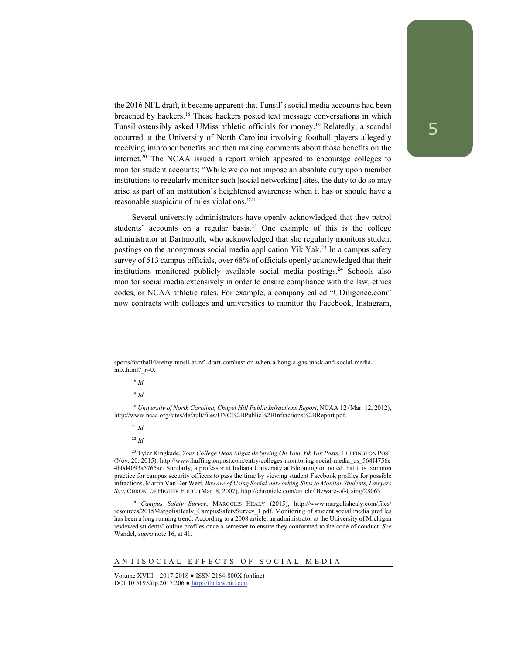the 2016 NFL draft, it became apparent that Tunsil's social media accounts had been breached by hackers.18 These hackers posted text message conversations in which Tunsil ostensibly asked UMiss athletic officials for money.19 Relatedly, a scandal occurred at the University of North Carolina involving football players allegedly receiving improper benefits and then making comments about those benefits on the internet.20 The NCAA issued a report which appeared to encourage colleges to monitor student accounts: "While we do not impose an absolute duty upon member institutions to regularly monitor such [social networking] sites, the duty to do so may arise as part of an institution's heightened awareness when it has or should have a reasonable suspicion of rules violations."21

Several university administrators have openly acknowledged that they patrol students' accounts on a regular basis.<sup>22</sup> One example of this is the college administrator at Dartmouth, who acknowledged that she regularly monitors student postings on the anonymous social media application Yik Yak.<sup>23</sup> In a campus safety survey of 513 campus officials, over 68% of officials openly acknowledged that their institutions monitored publicly available social media postings. 24 Schools also monitor social media extensively in order to ensure compliance with the law, ethics codes, or NCAA athletic rules. For example, a company called "UDiligence.com" now contracts with colleges and universities to monitor the Facebook, Instagram,

l

<sup>20</sup> *University of North Carolina, Chapel Hill Public Infractions Report, NCAA 12 (Mar. 12, 2012),* http://www.ncaa.org/sites/default/files/UNC%2BPublic%2BInfractions%2BReport.pdf.

23 Tyler Kingkade, *Your College Dean Might Be Spying On Your Yik Yak Posts*, HUFFINGTON POST (Nov. 20, 2015), http://www.huffingtonpost.com/entry/colleges-monitoring-social-media\_us\_564f4756e 4b0d4093a5765ae. Similarly, a professor at Indiana University at Bloomington noted that it is common practice for campus security officers to pass the time by viewing student Facebook profiles for possible infractions. Martin Van Der Werf, *Beware of Using Social-networking Sites to Monitor Students, Lawyers Say*, CHRON. OF HIGHER EDUC. (Mar. 8, 2007), http://chronicle.com/article/ Beware-of-Using/28063.

<sup>24</sup> *Campus Safety Survey*, MARGOLIS HEALY (2015), http://www.margolishealy.com/files/ resources/2015MargolisHealy\_CampusSafetySurvey\_1.pdf. Monitoring of student social media profiles has been a long running trend. According to a 2008 article, an administrator at the University of Michigan reviewed students' online profiles once a semester to ensure they conformed to the code of conduct. *See* Wandel, *supra* note 16, at 41.

ANTISOCIAL EFFECTS OF SOCIAL MEDIA

sports/football/laremy-tunsil-at-nfl-draft-combustion-when-a-bong-a-gas-mask-and-social-mediamix.html? $r=0$ .

<sup>18</sup> *Id.*

<sup>19</sup> *Id.*

<sup>21</sup> *Id.*

<sup>22</sup> *Id.*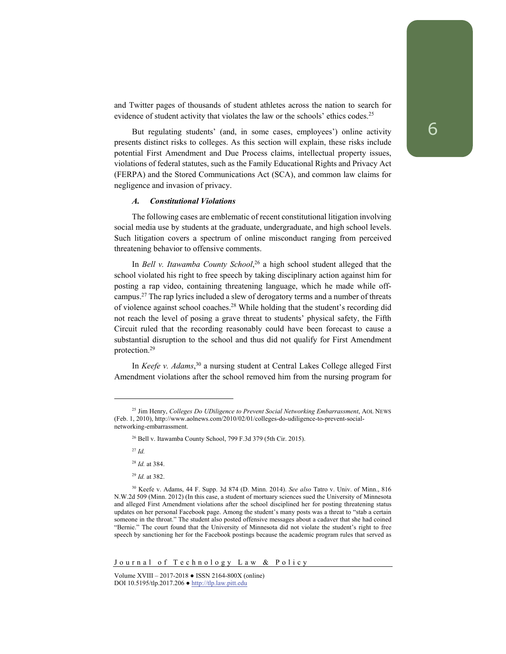and Twitter pages of thousands of student athletes across the nation to search for evidence of student activity that violates the law or the schools' ethics codes.<sup>25</sup>

But regulating students' (and, in some cases, employees') online activity presents distinct risks to colleges. As this section will explain, these risks include potential First Amendment and Due Process claims, intellectual property issues, violations of federal statutes, such as the Family Educational Rights and Privacy Act (FERPA) and the Stored Communications Act (SCA), and common law claims for negligence and invasion of privacy.

# *A. Constitutional Violations*

The following cases are emblematic of recent constitutional litigation involving social media use by students at the graduate, undergraduate, and high school levels. Such litigation covers a spectrum of online misconduct ranging from perceived threatening behavior to offensive comments.

In *Bell v. Itawamba County School*, 26 a high school student alleged that the school violated his right to free speech by taking disciplinary action against him for posting a rap video, containing threatening language, which he made while offcampus.27 The rap lyrics included a slew of derogatory terms and a number of threats of violence against school coaches.28 While holding that the student's recording did not reach the level of posing a grave threat to students' physical safety, the Fifth Circuit ruled that the recording reasonably could have been forecast to cause a substantial disruption to the school and thus did not qualify for First Amendment protection.29

In *Keefe v. Adams*, 30 a nursing student at Central Lakes College alleged First Amendment violations after the school removed him from the nursing program for

l

Journal of Technolo gy Law & Policy

<sup>25</sup> Jim Henry, *Colleges Do UDiligence to Prevent Social Networking Embarrassment*, AOL NEWS (Feb. 1, 2010), http://www.aolnews.com/2010/02/01/colleges-do-udiligence-to-prevent-socialnetworking-embarrassment.

<sup>26</sup> Bell v. Itawamba County School, 799 F.3d 379 (5th Cir. 2015).

<sup>27</sup> *Id.*

<sup>28</sup> *Id.* at 384.

<sup>29</sup> *Id.* at 382.

<sup>30</sup> Keefe v. Adams, 44 F. Supp. 3d 874 (D. Minn. 2014). *See also* Tatro v. Univ. of Minn., 816 N.W.2d 509 (Minn. 2012) (In this case, a student of mortuary sciences sued the University of Minnesota and alleged First Amendment violations after the school disciplined her for posting threatening status updates on her personal Facebook page. Among the student's many posts was a threat to "stab a certain someone in the throat." The student also posted offensive messages about a cadaver that she had coined "Bernie." The court found that the University of Minnesota did not violate the student's right to free speech by sanctioning her for the Facebook postings because the academic program rules that served as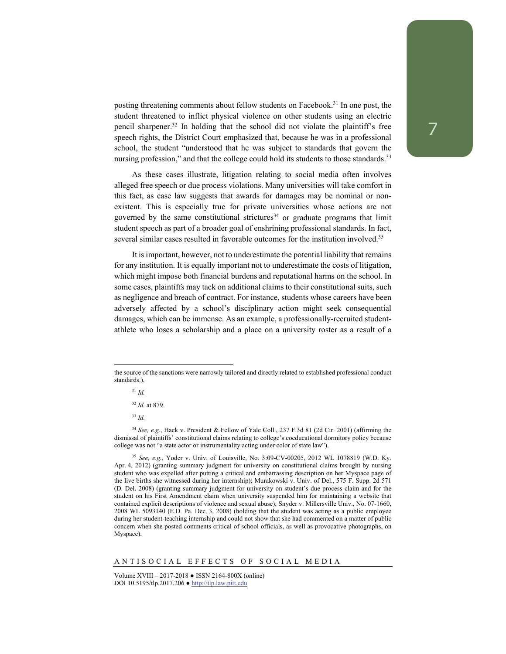posting threatening comments about fellow students on Facebook.<sup>31</sup> In one post, the student threatened to inflict physical violence on other students using an electric pencil sharpener.32 In holding that the school did not violate the plaintiff's free speech rights, the District Court emphasized that, because he was in a professional school, the student "understood that he was subject to standards that govern the nursing profession," and that the college could hold its students to those standards.<sup>33</sup>

As these cases illustrate, litigation relating to social media often involves alleged free speech or due process violations. Many universities will take comfort in this fact, as case law suggests that awards for damages may be nominal or nonexistent. This is especially true for private universities whose actions are not governed by the same constitutional strictures<sup>34</sup> or graduate programs that limit student speech as part of a broader goal of enshrining professional standards. In fact, several similar cases resulted in favorable outcomes for the institution involved.35

It is important, however, not to underestimate the potential liability that remains for any institution. It is equally important not to underestimate the costs of litigation, which might impose both financial burdens and reputational harms on the school. In some cases, plaintiffs may tack on additional claims to their constitutional suits, such as negligence and breach of contract. For instance, students whose careers have been adversely affected by a school's disciplinary action might seek consequential damages, which can be immense. As an example, a professionally-recruited studentathlete who loses a scholarship and a place on a university roster as a result of a

l

ANTISOCIAL EFFECTS OF SOCIAL MEDIA

the source of the sanctions were narrowly tailored and directly related to established professional conduct standards.).

<sup>31</sup> *Id.*

<sup>32</sup> *Id.* at 879.

<sup>33</sup> *Id.*

<sup>34</sup> *See, e.g.*, Hack v. President & Fellow of Yale Coll., 237 F.3d 81 (2d Cir. 2001) (affirming the dismissal of plaintiffs' constitutional claims relating to college's coeducational dormitory policy because college was not "a state actor or instrumentality acting under color of state law").

<sup>35</sup> *See, e.g.*, Yoder v. Univ. of Louisville, No. 3:09-CV-00205, 2012 WL 1078819 (W.D. Ky. Apr. 4, 2012) (granting summary judgment for university on constitutional claims brought by nursing student who was expelled after putting a critical and embarrassing description on her Myspace page of the live births she witnessed during her internship); Murakowski v. Univ. of Del., 575 F. Supp. 2d 571 (D. Del. 2008) (granting summary judgment for university on student's due process claim and for the student on his First Amendment claim when university suspended him for maintaining a website that contained explicit descriptions of violence and sexual abuse); Snyder v. Millersville Univ., No. 07-1660, 2008 WL 5093140 (E.D. Pa. Dec. 3, 2008) (holding that the student was acting as a public employee during her student-teaching internship and could not show that she had commented on a matter of public concern when she posted comments critical of school officials, as well as provocative photographs, on Myspace).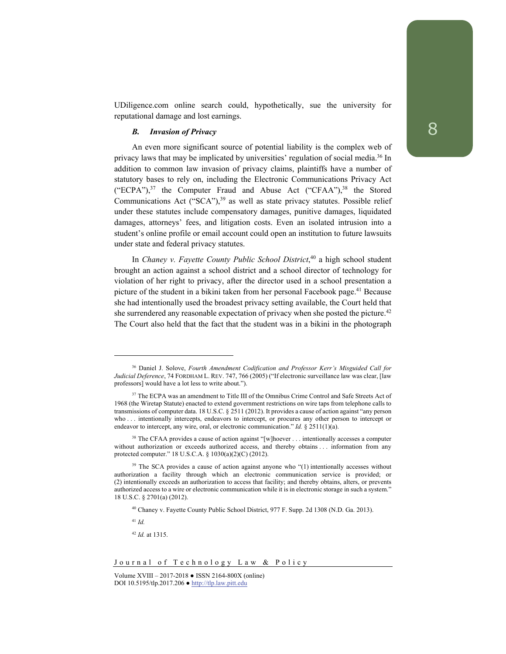UDiligence.com online search could, hypothetically, sue the university for reputational damage and lost earnings.

# *B. Invasion of Privacy*

An even more significant source of potential liability is the complex web of privacy laws that may be implicated by universities' regulation of social media.36 In addition to common law invasion of privacy claims, plaintiffs have a number of statutory bases to rely on, including the Electronic Communications Privacy Act ("ECPA"),37 the Computer Fraud and Abuse Act ("CFAA"),38 the Stored Communications Act ("SCA"),<sup>39</sup> as well as state privacy statutes. Possible relief under these statutes include compensatory damages, punitive damages, liquidated damages, attorneys' fees, and litigation costs. Even an isolated intrusion into a student's online profile or email account could open an institution to future lawsuits under state and federal privacy statutes.

In *Chaney v. Fayette County Public School District*, 40 a high school student brought an action against a school district and a school director of technology for violation of her right to privacy, after the director used in a school presentation a picture of the student in a bikini taken from her personal Facebook page.<sup>41</sup> Because she had intentionally used the broadest privacy setting available, the Court held that she surrendered any reasonable expectation of privacy when she posted the picture.<sup>42</sup> The Court also held that the fact that the student was in a bikini in the photograph

<sup>36</sup> Daniel J. Solove, *Fourth Amendment Codification and Professor Kerr's Misguided Call for Judicial Deference*, 74 FORDHAM L. REV. 747, 766 (2005) ("If electronic surveillance law was clear, [law professors] would have a lot less to write about.").

<sup>&</sup>lt;sup>37</sup> The ECPA was an amendment to Title III of the Omnibus Crime Control and Safe Streets Act of 1968 (the Wiretap Statute) enacted to extend government restrictions on wire taps from telephone calls to transmissions of computer data. 18 U.S.C. § 2511 (2012). It provides a cause of action against "any person who . . . intentionally intercepts, endeavors to intercept, or procures any other person to intercept or endeavor to intercept, any wire, oral, or electronic communication." *Id.* § 2511(1)(a).

<sup>&</sup>lt;sup>38</sup> The CFAA provides a cause of action against "[w]hoever . . . intentionally accesses a computer without authorization or exceeds authorized access, and thereby obtains . . . information from any protected computer." 18 U.S.C.A. § 1030(a)(2)(C) (2012).

 $39$  The SCA provides a cause of action against anyone who " $(1)$  intentionally accesses without authorization a facility through which an electronic communication service is provided; or (2) intentionally exceeds an authorization to access that facility; and thereby obtains, alters, or prevents authorized access to a wire or electronic communication while it is in electronic storage in such a system." 18 U.S.C. § 2701(a) (2012).

<sup>40</sup> Chaney v. Fayette County Public School District, 977 F. Supp. 2d 1308 (N.D. Ga. 2013).

<sup>41</sup> *Id.*

<sup>42</sup> *Id.* at 1315.

Volume XVIII – 2017-2018 ● ISSN 2164-800X (online) DOI 10.5195/tlp.2017.206 ● http://tlp.law.pitt.edu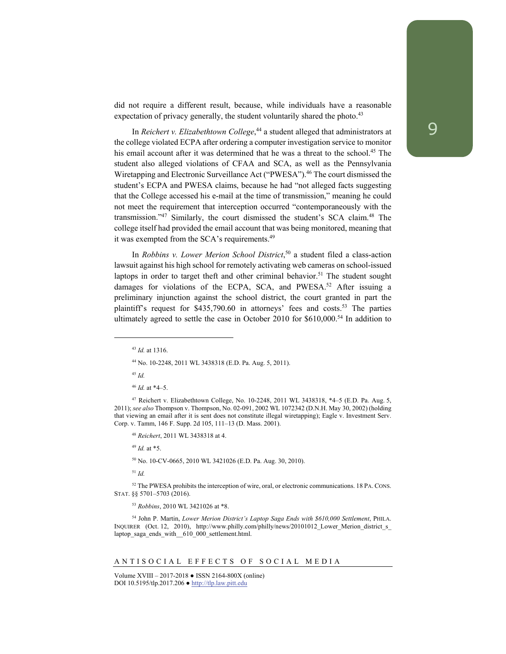did not require a different result, because, while individuals have a reasonable expectation of privacy generally, the student voluntarily shared the photo.<sup>43</sup>

In *Reichert v. Elizabethtown College*, 44 a student alleged that administrators at the college violated ECPA after ordering a computer investigation service to monitor his email account after it was determined that he was a threat to the school.<sup>45</sup> The student also alleged violations of CFAA and SCA, as well as the Pennsylvania Wiretapping and Electronic Surveillance Act ("PWESA").<sup>46</sup> The court dismissed the student's ECPA and PWESA claims, because he had "not alleged facts suggesting that the College accessed his e-mail at the time of transmission," meaning he could not meet the requirement that interception occurred "contemporaneously with the transmission."<sup>47</sup> Similarly, the court dismissed the student's SCA claim.<sup>48</sup> The college itself had provided the email account that was being monitored, meaning that it was exempted from the SCA's requirements.<sup>49</sup>

In *Robbins v. Lower Merion School District*, 50 a student filed a class-action lawsuit against his high school for remotely activating web cameras on school-issued laptops in order to target theft and other criminal behavior.<sup>51</sup> The student sought damages for violations of the ECPA, SCA, and PWESA.<sup>52</sup> After issuing a preliminary injunction against the school district, the court granted in part the plaintiff's request for \$435,790.60 in attorneys' fees and costs.<sup>53</sup> The parties ultimately agreed to settle the case in October 2010 for \$610,000.54 In addition to

<sup>45</sup> *Id.*

l

<sup>48</sup> *Reichert*, 2011 WL 3438318 at 4.

<sup>49</sup> *Id.* at \*5.

50 No. 10-CV-0665, 2010 WL 3421026 (E.D. Pa. Aug. 30, 2010).

<sup>51</sup> *Id.*

<sup>52</sup> The PWESA prohibits the interception of wire, oral, or electronic communications. 18 PA. CONS. STAT. §§ 5701–5703 (2016).

<sup>53</sup> *Robbins*, 2010 WL 3421026 at \*8.

54 John P. Martin, *Lower Merion District's Laptop Saga Ends with \$610,000 Settlement*, PHILA. INQUIRER (Oct. 12, 2010), http://www.philly.com/philly/news/20101012\_Lower\_Merion\_district\_s\_ laptop saga\_ends\_with\_\_610\_000\_settlement.html.

#### ANTISOCIAL EFFECTS OF SOCIAL MEDIA

<sup>43</sup> *Id.* at 1316.

<sup>44</sup> No. 10-2248, 2011 WL 3438318 (E.D. Pa. Aug. 5, 2011).

<sup>46</sup> *Id.* at \*4–5.

<sup>47</sup> Reichert v. Elizabethtown College, No. 10-2248, 2011 WL 3438318, \*4–5 (E.D. Pa. Aug. 5, 2011); *see also* Thompson v. Thompson, No. 02-091, 2002 WL 1072342 (D.N.H. May 30, 2002) (holding that viewing an email after it is sent does not constitute illegal wiretapping); Eagle v. Investment Serv. Corp. v. Tamm, 146 F. Supp. 2d 105, 111–13 (D. Mass. 2001).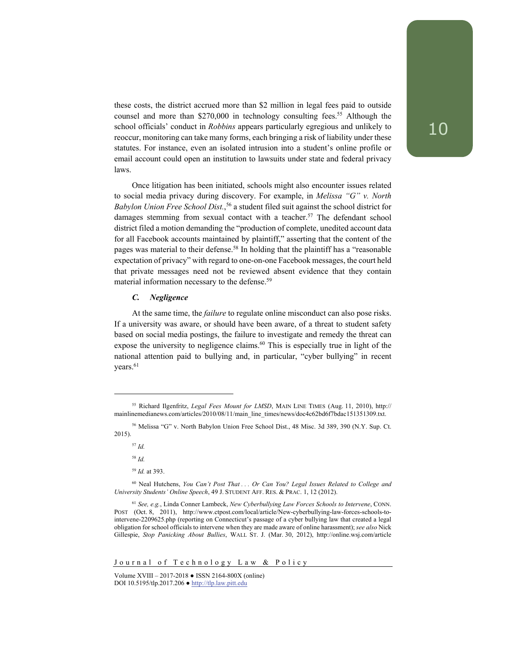these costs, the district accrued more than \$2 million in legal fees paid to outside counsel and more than \$270,000 in technology consulting fees.<sup>55</sup> Although the school officials' conduct in *Robbins* appears particularly egregious and unlikely to reoccur, monitoring can take many forms, each bringing a risk of liability under these statutes. For instance, even an isolated intrusion into a student's online profile or email account could open an institution to lawsuits under state and federal privacy laws.

Once litigation has been initiated, schools might also encounter issues related to social media privacy during discovery. For example, in *Melissa "G" v. North Babylon Union Free School Dist.*, 56 a student filed suit against the school district for damages stemming from sexual contact with a teacher.<sup>57</sup> The defendant school district filed a motion demanding the "production of complete, unedited account data for all Facebook accounts maintained by plaintiff," asserting that the content of the pages was material to their defense.<sup>58</sup> In holding that the plaintiff has a "reasonable expectation of privacy" with regard to one-on-one Facebook messages, the court held that private messages need not be reviewed absent evidence that they contain material information necessary to the defense.<sup>59</sup>

# *C. Negligence*

At the same time, the *failure* to regulate online misconduct can also pose risks. If a university was aware, or should have been aware, of a threat to student safety based on social media postings, the failure to investigate and remedy the threat can expose the university to negligence claims.<sup>60</sup> This is especially true in light of the national attention paid to bullying and, in particular, "cyber bullying" in recent years.<sup>61</sup>

l

<sup>58</sup> *Id.*

<sup>59</sup> *Id.* at 393.

Journal of Technolo gy Law & Policy

<sup>55</sup> Richard Ilgenfritz, *Legal Fees Mount for LMSD*, MAIN LINE TIMES (Aug. 11, 2010), http:// mainlinemedianews.com/articles/2010/08/11/main\_line\_times/news/doc4c62bd6f7bdac151351309.txt.

<sup>56</sup> Melissa "G" v. North Babylon Union Free School Dist., 48 Misc. 3d 389, 390 (N.Y. Sup. Ct. 2015).

<sup>57</sup> *Id.*

<sup>60</sup> Neal Hutchens, *You Can't Post That . . . Or Can You? Legal Issues Related to College and University Students' Online Speech*, 49 J. STUDENT AFF. RES. & PRAC. 1, 12 (2012).

<sup>61</sup> *See, e.g.*, Linda Conner Lambeck, *New Cyberbullying Law Forces Schools to Intervene*, CONN. POST (Oct. 8, 2011), http://www.ctpost.com/local/article/New-cyberbullying-law-forces-schools-tointervene-2209625.php (reporting on Connecticut's passage of a cyber bullying law that created a legal obligation for school officials to intervene when they are made aware of online harassment); *see also* Nick Gillespie, *Stop Panicking About Bullies*, WALL ST. J. (Mar. 30, 2012), http://online.wsj.com/article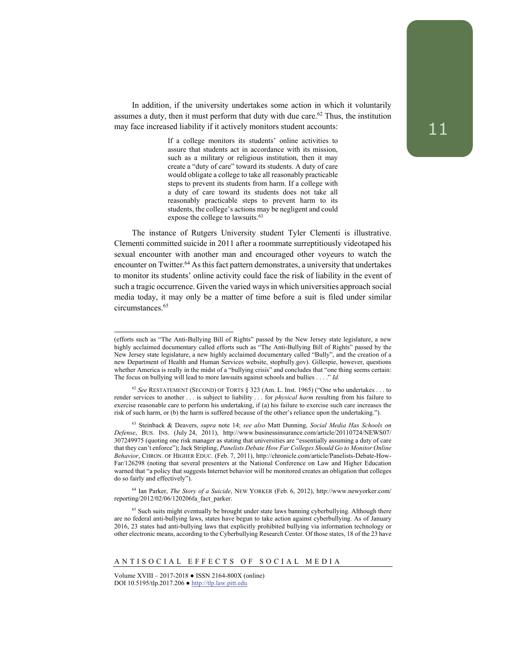In addition, if the university undertakes some action in which it voluntarily assumes a duty, then it must perform that duty with due care.<sup>62</sup> Thus, the institution may face increased liability if it actively monitors student accounts:

> If a college monitors its students' online activities to assure that students act in accordance with its mission, such as a military or religious institution, then it may create a "duty of care" toward its students. A duty of care would obligate a college to take all reasonably practicable steps to prevent its students from harm. If a college with a duty of care toward its students does not take all reasonably practicable steps to prevent harm to its students, the college's actions may be negligent and could expose the college to lawsuits.<sup>63</sup>

The instance of Rutgers University student Tyler Clementi is illustrative. Clementi committed suicide in 2011 after a roommate surreptitiously videotaped his sexual encounter with another man and encouraged other voyeurs to watch the encounter on Twitter.<sup>64</sup> As this fact pattern demonstrates, a university that undertakes to monitor its students' online activity could face the risk of liability in the event of such a tragic occurrence. Given the varied ways in which universities approach social media today, it may only be a matter of time before a suit is filed under similar circumstances.65

64 Ian Parker, *The Story of a Suicide*, NEW YORKER (Feb. 6, 2012), http://www.newyorker.com/ reporting/2012/02/06/120206fa\_fact\_parker.

<sup>(</sup>efforts such as "The Anti-Bullying Bill of Rights" passed by the New Jersey state legislature, a new highly acclaimed documentary called efforts such as "The Anti-Bullying Bill of Rights" passed by the New Jersey state legislature, a new highly acclaimed documentary called "Bully", and the creation of a new Department of Health and Human Services website, stopbully.gov). Gillespie, however, questions whether America is really in the midst of a "bullying crisis" and concludes that "one thing seems certain: The focus on bullying will lead to more lawsuits against schools and bullies . . . ." *Id.*

<sup>62</sup> *See* RESTATEMENT (SECOND) OF TORTS § 323 (Am. L. Inst. 1965) ("One who undertakes . . . to render services to another . . . is subject to liability . . . for *physical harm* resulting from his failure to exercise reasonable care to perform his undertaking, if (a) his failure to exercise such care increases the risk of such harm, or (b) the harm is suffered because of the other's reliance upon the undertaking.").

<sup>63</sup> Steinback & Deavers, *supra* note 14; *see also* Matt Dunning, *Social Media Has Schools on Defense*, BUS. INS. (July 24, 2011), http://www.businessinsurance.com/article/20110724/NEWS07/ 307249975 (quoting one risk manager as stating that universities are "essentially assuming a duty of care that they can't enforce"); Jack Stripling, *Panelists Debate How Far Colleges Should Go to Monitor Online Behavior*, CHRON. OF HIGHER EDUC. (Feb. 7, 2011), http://chronicle.com/article/Panelists-Debate-How-Far/126298 (noting that several presenters at the National Conference on Law and Higher Education warned that "a policy that suggests Internet behavior will be monitored creates an obligation that colleges do so fairly and effectively").

<sup>&</sup>lt;sup>65</sup> Such suits might eventually be brought under state laws banning cyberbullying. Although there are no federal anti-bullying laws, states have begun to take action against cyberbullying. As of January 2016, 23 states had anti-bullying laws that explicitly prohibited bullying via information technology or other electronic means, according to the Cyberbullying Research Center. Of those states, 18 of the 23 have

ANTISOCIAL EFFECTS OF SOCIAL MEDIA

Volume XVIII – 2017-2018 ● ISSN 2164-800X (online) DOI 10.5195/tlp.2017.206 ● http://tlp.law.pitt.edu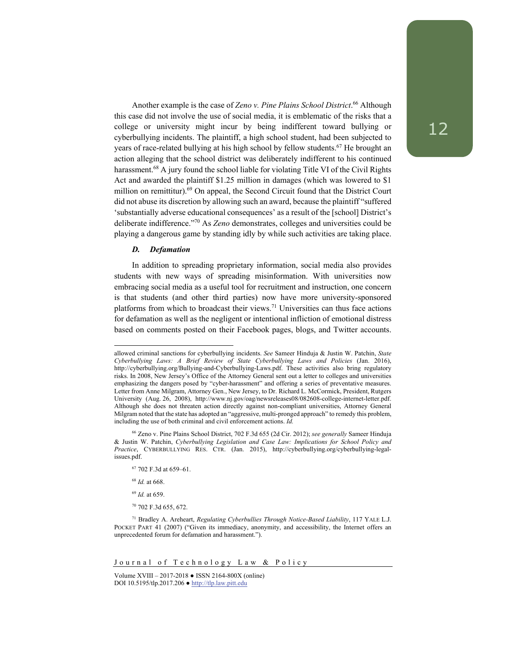Another example is the case of *Zeno v. Pine Plains School District*. 66 Although this case did not involve the use of social media, it is emblematic of the risks that a college or university might incur by being indifferent toward bullying or cyberbullying incidents. The plaintiff, a high school student, had been subjected to years of race-related bullying at his high school by fellow students.<sup>67</sup> He brought an action alleging that the school district was deliberately indifferent to his continued harassment.<sup>68</sup> A jury found the school liable for violating Title VI of the Civil Rights Act and awarded the plaintiff \$1.25 million in damages (which was lowered to \$1 million on remittitur).<sup>69</sup> On appeal, the Second Circuit found that the District Court did not abuse its discretion by allowing such an award, because the plaintiff "suffered 'substantially adverse educational consequences' as a result of the [school] District's deliberate indifference."70 As *Zeno* demonstrates, colleges and universities could be playing a dangerous game by standing idly by while such activities are taking place.

# *D. Defamation*

In addition to spreading proprietary information, social media also provides students with new ways of spreading misinformation. With universities now embracing social media as a useful tool for recruitment and instruction, one concern is that students (and other third parties) now have more university-sponsored platforms from which to broadcast their views.71 Universities can thus face actions for defamation as well as the negligent or intentional infliction of emotional distress based on comments posted on their Facebook pages, blogs, and Twitter accounts.

<sup>68</sup> *Id.* at 668.

- <sup>69</sup> *Id.* at 659.
- 70 702 F.3d 655, 672.

allowed criminal sanctions for cyberbullying incidents. *See* Sameer Hinduja & Justin W. Patchin, *State Cyberbullying Laws: A Brief Review of State Cyberbullying Laws and Policies* (Jan. 2016), http://cyberbullying.org/Bullying-and-Cyberbullying-Laws.pdf. These activities also bring regulatory risks. In 2008, New Jersey's Office of the Attorney General sent out a letter to colleges and universities emphasizing the dangers posed by "cyber-harassment" and offering a series of preventative measures. Letter from Anne Milgram, Attorney Gen., New Jersey, to Dr. Richard L. McCormick, President, Rutgers University (Aug. 26, 2008), http://www.nj.gov/oag/newsreleases08/082608-college-internet-letter.pdf. Although she does not threaten action directly against non-compliant universities, Attorney General Milgram noted that the state has adopted an "aggressive, multi-pronged approach" to remedy this problem, including the use of both criminal and civil enforcement actions. *Id.*

<sup>66</sup> Zeno v. Pine Plains School District, 702 F.3d 655 (2d Cir. 2012); *see generally* Sameer Hinduja & Justin W. Patchin, *Cyberbullying Legislation and Case Law: Implications for School Policy and Practice*, CYBERBULLYING RES. CTR. (Jan. 2015), http://cyberbullying.org/cyberbullying-legalissues.pdf.

 $^{67}$  702 F.3d at 659–61.

<sup>71</sup> Bradley A. Areheart, *Regulating Cyberbullies Through Notice-Based Liability*, 117 YALE L.J. POCKET PART 41 (2007) ("Given its immediacy, anonymity, and accessibility, the Internet offers an unprecedented forum for defamation and harassment.").

Journal of Technolo gy Law & Policy

Volume XVIII – 2017-2018 ● ISSN 2164-800X (online) DOI 10.5195/tlp.2017.206 ● http://tlp.law.pitt.edu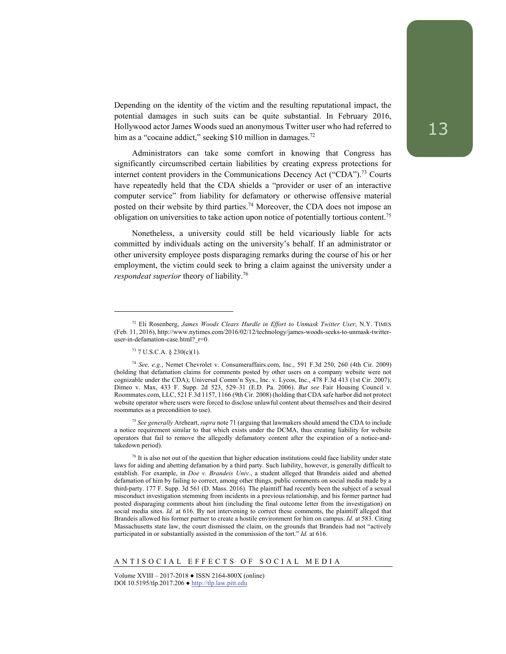Depending on the identity of the victim and the resulting reputational impact, the potential damages in such suits can be quite substantial. In February 2016, Hollywood actor James Woods sued an anonymous Twitter user who had referred to him as a "cocaine addict," seeking \$10 million in damages.<sup>72</sup>

Administrators can take some comfort in knowing that Congress has significantly circumscribed certain liabilities by creating express protections for internet content providers in the Communications Decency Act ("CDA").73 Courts have repeatedly held that the CDA shields a "provider or user of an interactive computer service" from liability for defamatory or otherwise offensive material posted on their website by third parties.74 Moreover, the CDA does not impose an obligation on universities to take action upon notice of potentially tortious content.75

Nonetheless, a university could still be held vicariously liable for acts committed by individuals acting on the university's behalf. If an administrator or other university employee posts disparaging remarks during the course of his or her employment, the victim could seek to bring a claim against the university under a *respondeat superior* theory of liability.76

l

<sup>75</sup> *See generally* Areheart, *supra* note 71 (arguing that lawmakers should amend the CDA to include a notice requirement similar to that which exists under the DCMA, thus creating liability for website operators that fail to remove the allegedly defamatory content after the expiration of a notice-andtakedown period).

<sup>72</sup> Eli Rosenberg, *James Woods Clears Hurdle in Effort to Unmask Twitter User*, N.Y. TIMES (Feb. 11, 2016), http://www.nytimes.com/2016/02/12/technology/james-woods-seeks-to-unmask-twitteruser-in-defamation-case.html?\_r=0.

 $73$  7 U.S.C.A. § 230(c)(1).

<sup>74</sup> *See, e.g.*, Nemet Chevrolet v. Consumeraffairs.com, Inc., 591 F.3d 250, 260 (4th Cir. 2009) (holding that defamation claims for comments posted by other users on a company website were not cognizable under the CDA); Universal Comm'n Sys., Inc. v. Lycos, Inc., 478 F.3d 413 (1st Cir. 2007); Dimeo v. Max, 433 F. Supp. 2d 523, 529–31 (E.D. Pa. 2006). *But see* Fair Housing Council v. Roommates.com, LLC, 521 F.3d 1157, 1166 (9th Cir. 2008) (holding that CDA safe harbor did not protect website operator where users were forced to disclose unlawful content about themselves and their desired roommates as a precondition to use).

 $76$  It is also not out of the question that higher education institutions could face liability under state laws for aiding and abetting defamation by a third party. Such liability, however, is generally difficult to establish. For example, in *Doe v. Brandeis Univ.*, a student alleged that Brandeis aided and abetted defamation of him by failing to correct, among other things, public comments on social media made by a third-party. 177 F. Supp. 3d 561 (D. Mass. 2016). The plaintiff had recently been the subject of a sexual misconduct investigation stemming from incidents in a previous relationship, and his former partner had posted disparaging comments about him (including the final outcome letter from the investigation) on social media sites. *Id.* at 616. By not intervening to correct these comments, the plaintiff alleged that Brandeis allowed his former partner to create a hostile environment for him on campus. *Id.* at 583. Citing Massachusetts state law, the court dismissed the claim, on the grounds that Brandeis had not "actively participated in or substantially assisted in the commission of the tort." *Id.* at 616.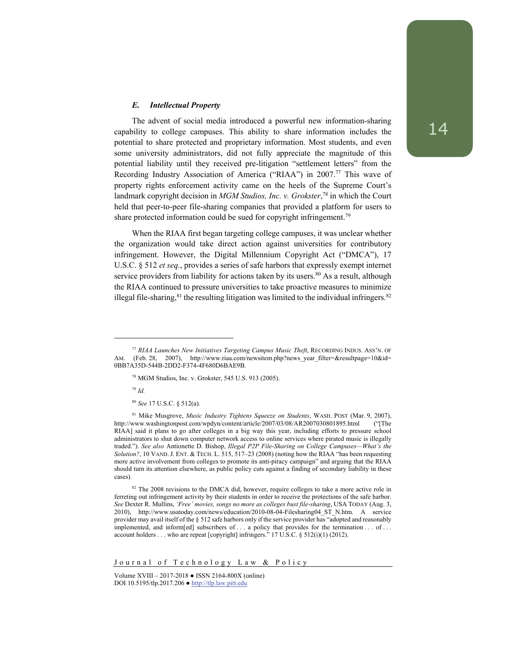# *E. Intellectual Property*

The advent of social media introduced a powerful new information-sharing capability to college campuses. This ability to share information includes the potential to share protected and proprietary information. Most students, and even some university administrators, did not fully appreciate the magnitude of this potential liability until they received pre-litigation "settlement letters" from the Recording Industry Association of America ("RIAA") in 2007.77 This wave of property rights enforcement activity came on the heels of the Supreme Court's landmark copyright decision in *MGM Studios, Inc. v. Grokster*, 78 in which the Court held that peer-to-peer file-sharing companies that provided a platform for users to share protected information could be sued for copyright infringement.<sup>79</sup>

When the RIAA first began targeting college campuses, it was unclear whether the organization would take direct action against universities for contributory infringement. However, the Digital Millennium Copyright Act ("DMCA"), 17 U.S.C. § 512 *et seq.*, provides a series of safe harbors that expressly exempt internet service providers from liability for actions taken by its users.<sup>80</sup> As a result, although the RIAA continued to pressure universities to take proactive measures to minimize illegal file-sharing, $81$  the resulting litigation was limited to the individual infringers.  $82$ 

<sup>79</sup> *Id.*

l

```
80 See 17 U.S.C. § 512(a).
```
81 Mike Musgrove, *Music Industry Tightens Squeeze on Students*, WASH. POST (Mar. 9, 2007), http://www.washingtonpost.com/wpdyn/content/article/2007/03/08/AR2007030801895.html ("[The RIAA] said it plans to go after colleges in a big way this year, including efforts to pressure school administrators to shut down computer network access to online services where pirated music is illegally traded."). *See also* Antionette D. Bishop, *Illegal P2P File-Sharing on College Campuses—What's the Solution?*, 10 VAND.J. ENT. & TECH. L. 515, 517–23 (2008) (noting how the RIAA "has been requesting more active involvement from colleges to promote its anti-piracy campaign" and arguing that the RIAA should turn its attention elsewhere, as public policy cuts against a finding of secondary liability in these cases).

82 The 2008 revisions to the DMCA did, however, require colleges to take a more active role in ferreting out infringement activity by their students in order to receive the protections of the safe harbor. *See* Dexter R. Mullins, *'Free' movies, songs no more as colleges bust file-sharing*, USA TODAY (Aug. 3, 2010), http://www.usatoday.com/news/education/2010-08-04-Filesharing04\_ST\_N.htm. A service provider may avail itself of the § 512 safe harbors only if the service provider has "adopted and reasonably implemented, and inform[ed] subscribers of . . . a policy that provides for the termination . . . of . . . account holders . . . who are repeat [copyright] infringers." 17 U.S.C. § 512(i)(1) (2012).

Journal of Technolo gy Law & Policy

<sup>&</sup>lt;sup>77</sup> RIAA Launches New Initiatives Targeting Campus Music Theft, RECORDING INDUS. ASS'N. OF AM. (Feb. 28, 2007), http://www.riaa.com/newsitem.php?news\_year\_filter=&resultpage=10&id= 0BB7A35D-544B-2DD2-F374-4F680D6BAE9B.

<sup>78</sup> MGM Studios, Inc. v. Grokster, 545 U.S. 913 (2005).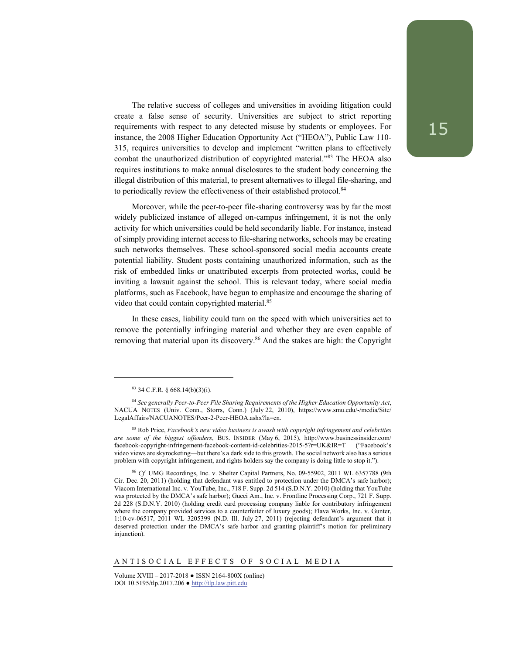The relative success of colleges and universities in avoiding litigation could create a false sense of security. Universities are subject to strict reporting requirements with respect to any detected misuse by students or employees. For instance, the 2008 Higher Education Opportunity Act ("HEOA"), Public Law 110- 315, requires universities to develop and implement "written plans to effectively combat the unauthorized distribution of copyrighted material."83 The HEOA also requires institutions to make annual disclosures to the student body concerning the illegal distribution of this material, to present alternatives to illegal file-sharing, and to periodically review the effectiveness of their established protocol.<sup>84</sup>

Moreover, while the peer-to-peer file-sharing controversy was by far the most widely publicized instance of alleged on-campus infringement, it is not the only activity for which universities could be held secondarily liable. For instance, instead of simply providing internet access to file-sharing networks, schools may be creating such networks themselves. These school-sponsored social media accounts create potential liability. Student posts containing unauthorized information, such as the risk of embedded links or unattributed excerpts from protected works, could be inviting a lawsuit against the school. This is relevant today, where social media platforms, such as Facebook, have begun to emphasize and encourage the sharing of video that could contain copyrighted material.<sup>85</sup>

In these cases, liability could turn on the speed with which universities act to remove the potentially infringing material and whether they are even capable of removing that material upon its discovery.86 And the stakes are high: the Copyright

l

ANTISOCIAL EFFECTS OF SOCIAL MEDIA

<sup>83 34</sup> C.F.R. § 668.14(b)(3)(i).

<sup>84</sup> *See generally Peer-to-Peer File Sharing Requirements of the Higher Education Opportunity Act*, NACUA NOTES (Univ. Conn., Storrs, Conn.) (July 22, 2010), https://www.smu.edu/-/media/Site/ LegalAffairs/NACUANOTES/Peer-2-Peer-HEOA.ashx?la=en.

<sup>85</sup> Rob Price, *Facebook's new video business is awash with copyright infringement and celebrities are some of the biggest offenders*, BUS. INSIDER (May 6, 2015), http://www.businessinsider.com/ facebook-copyright-infringement-facebook-content-id-celebrities-2015-5?r=UK&IR=T ("Facebook's video views are skyrocketing—but there's a dark side to this growth. The social network also has a serious problem with copyright infringement, and rights holders say the company is doing little to stop it.").

<sup>86</sup> *Cf.* UMG Recordings, Inc. v. Shelter Capital Partners, No. 09-55902, 2011 WL 6357788 (9th Cir. Dec. 20, 2011) (holding that defendant was entitled to protection under the DMCA's safe harbor); Viacom International Inc. v. YouTube, Inc., 718 F. Supp. 2d 514 (S.D.N.Y. 2010) (holding that YouTube was protected by the DMCA's safe harbor); Gucci Am., Inc. v. Frontline Processing Corp., 721 F. Supp. 2d 228 (S.D.N.Y. 2010) (holding credit card processing company liable for contributory infringement where the company provided services to a counterfeiter of luxury goods); Flava Works, Inc. v. Gunter, 1:10-cv-06517, 2011 WL 3205399 (N.D. Ill. July 27, 2011) (rejecting defendant's argument that it deserved protection under the DMCA's safe harbor and granting plaintiff's motion for preliminary injunction).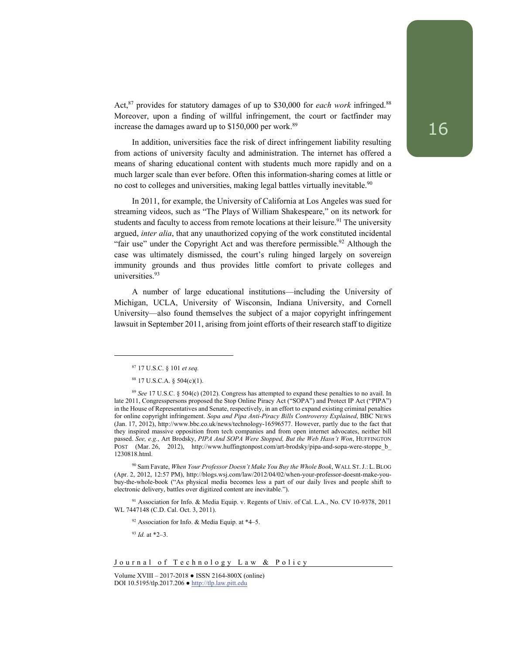Act,87 provides for statutory damages of up to \$30,000 for *each work* infringed.88 Moreover, upon a finding of willful infringement, the court or factfinder may increase the damages award up to  $$150,000$  per work.<sup>89</sup>

In addition, universities face the risk of direct infringement liability resulting from actions of university faculty and administration. The internet has offered a means of sharing educational content with students much more rapidly and on a much larger scale than ever before. Often this information-sharing comes at little or no cost to colleges and universities, making legal battles virtually inevitable.<sup>90</sup>

In 2011, for example, the University of California at Los Angeles was sued for streaming videos, such as "The Plays of William Shakespeare," on its network for students and faculty to access from remote locations at their leisure.<sup>91</sup> The university argued, *inter alia*, that any unauthorized copying of the work constituted incidental "fair use" under the Copyright Act and was therefore permissible. $92$  Although the case was ultimately dismissed, the court's ruling hinged largely on sovereign immunity grounds and thus provides little comfort to private colleges and universities.93

A number of large educational institutions—including the University of Michigan, UCLA, University of Wisconsin, Indiana University, and Cornell University—also found themselves the subject of a major copyright infringement lawsuit in September 2011, arising from joint efforts of their research staff to digitize

l

90 Sam Favate, *When Your Professor Doesn't Make You Buy the Whole Book*, WALL ST.J.: L.BLOG (Apr. 2, 2012, 12:57 PM), http://blogs.wsj.com/law/2012/04/02/when-your-professor-doesnt-make-youbuy-the-whole-book ("As physical media becomes less a part of our daily lives and people shift to electronic delivery, battles over digitized content are inevitable.").

91 Association for Info. & Media Equip. v. Regents of Univ. of Cal. L.A., No. CV 10-9378, 2011 WL 7447148 (C.D. Cal. Oct. 3, 2011).

92 Association for Info. & Media Equip. at \*4–5.

<sup>93</sup> *Id.* at \*2–3.

<sup>87 17</sup> U.S.C. § 101 *et seq.*

<sup>88 17</sup> U.S.C.A. § 504(c)(1).

<sup>89</sup> *See* 17 U.S.C. § 504(c) (2012). Congress has attempted to expand these penalties to no avail. In late 2011, Congresspersons proposed the Stop Online Piracy Act ("SOPA") and Protect IP Act ("PIPA") in the House of Representatives and Senate, respectively, in an effort to expand existing criminal penalties for online copyright infringement. *Sopa and Pipa Anti-Piracy Bills Controversy Explained*, BBC NEWS (Jan. 17, 2012), http://www.bbc.co.uk/news/technology-16596577. However, partly due to the fact that they inspired massive opposition from tech companies and from open internet advocates, neither bill passed. *See, e.g.*, Art Brodsky, *PIPA And SOPA Were Stopped, But the Web Hasn't Won*, HUFFINGTON POST (Mar. 26, 2012), http://www.huffingtonpost.com/art-brodsky/pipa-and-sopa-were-stoppe\_b\_ 1230818.html.

Volume XVIII – 2017-2018 ● ISSN 2164-800X (online) DOI 10.5195/tlp.2017.206 ● http://tlp.law.pitt.edu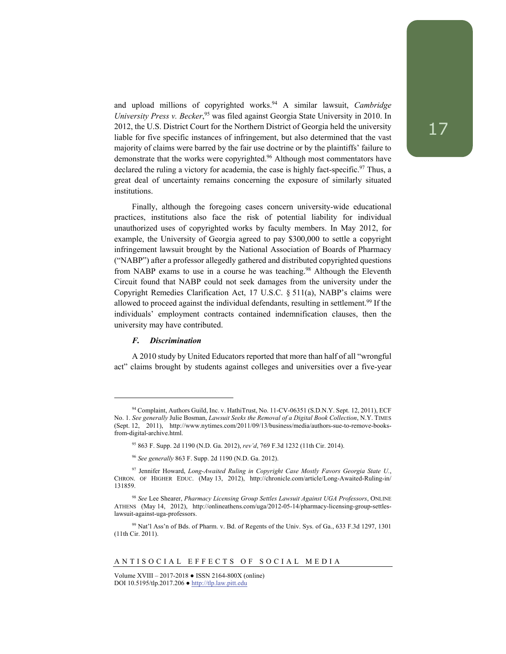and upload millions of copyrighted works.<sup>94</sup> A similar lawsuit, *Cambridge University Press v. Becker*, 95 was filed against Georgia State University in 2010. In 2012, the U.S. District Court for the Northern District of Georgia held the university liable for five specific instances of infringement, but also determined that the vast majority of claims were barred by the fair use doctrine or by the plaintiffs' failure to demonstrate that the works were copyrighted.<sup>96</sup> Although most commentators have declared the ruling a victory for academia, the case is highly fact-specific.<sup>97</sup> Thus, a great deal of uncertainty remains concerning the exposure of similarly situated institutions.

Finally, although the foregoing cases concern university-wide educational practices, institutions also face the risk of potential liability for individual unauthorized uses of copyrighted works by faculty members. In May 2012, for example, the University of Georgia agreed to pay \$300,000 to settle a copyright infringement lawsuit brought by the National Association of Boards of Pharmacy ("NABP") after a professor allegedly gathered and distributed copyrighted questions from NABP exams to use in a course he was teaching.<sup>98</sup> Although the Eleventh Circuit found that NABP could not seek damages from the university under the Copyright Remedies Clarification Act, 17 U.S.C. § 511(a), NABP's claims were allowed to proceed against the individual defendants, resulting in settlement.<sup>99</sup> If the individuals' employment contracts contained indemnification clauses, then the university may have contributed.

# *F. Discrimination*

l

A 2010 study by United Educators reported that more than half of all "wrongful act" claims brought by students against colleges and universities over a five-year

<sup>&</sup>lt;sup>94</sup> Complaint, Authors Guild, Inc. v. HathiTrust, No. 11-CV-06351 (S.D.N.Y. Sept. 12, 2011), ECF No. 1. *See generally* Julie Bosman, *Lawsuit Seeks the Removal of a Digital Book Collection*, N.Y. TIMES (Sept. 12, 2011), http://www.nytimes.com/2011/09/13/business/media/authors-sue-to-remove-booksfrom-digital-archive.html.

<sup>95 863</sup> F. Supp. 2d 1190 (N.D. Ga. 2012), *rev'd*, 769 F.3d 1232 (11th Cir. 2014).

<sup>96</sup> *See generally* 863 F. Supp. 2d 1190 (N.D. Ga. 2012).

<sup>97</sup> Jennifer Howard, *Long-Awaited Ruling in Copyright Case Mostly Favors Georgia State U.*, CHRON. OF HIGHER EDUC. (May 13, 2012), http://chronicle.com/article/Long-Awaited-Ruling-in/ 131859.

<sup>98</sup> *See* Lee Shearer, *Pharmacy Licensing Group Settles Lawsuit Against UGA Professors*, ONLINE ATHENS (May 14, 2012), http://onlineathens.com/uga/2012-05-14/pharmacy-licensing-group-settleslawsuit-against-uga-professors.

<sup>99</sup> Nat'l Ass'n of Bds. of Pharm. v. Bd. of Regents of the Univ. Sys. of Ga., 633 F.3d 1297, 1301 (11th Cir. 2011).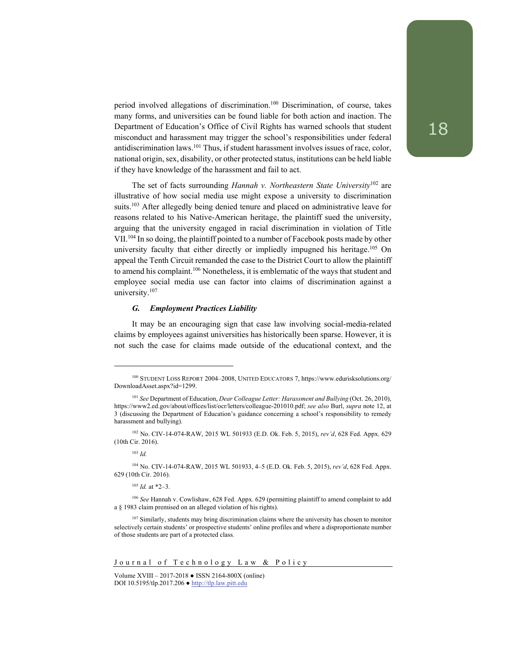period involved allegations of discrimination.<sup>100</sup> Discrimination, of course, takes many forms, and universities can be found liable for both action and inaction. The Department of Education's Office of Civil Rights has warned schools that student misconduct and harassment may trigger the school's responsibilities under federal antidiscrimination laws.101 Thus, if student harassment involves issues of race, color, national origin, sex, disability, or other protected status, institutions can be held liable if they have knowledge of the harassment and fail to act.

The set of facts surrounding *Hannah v. Northeastern State University*102 are illustrative of how social media use might expose a university to discrimination suits.<sup>103</sup> After allegedly being denied tenure and placed on administrative leave for reasons related to his Native-American heritage, the plaintiff sued the university, arguing that the university engaged in racial discrimination in violation of Title VII.<sup>104</sup> In so doing, the plaintiff pointed to a number of Facebook posts made by other university faculty that either directly or impliedly impugned his heritage.<sup>105</sup> On appeal the Tenth Circuit remanded the case to the District Court to allow the plaintiff to amend his complaint.<sup>106</sup> Nonetheless, it is emblematic of the ways that student and employee social media use can factor into claims of discrimination against a university.107

# *G. Employment Practices Liability*

It may be an encouraging sign that case law involving social-media-related claims by employees against universities has historically been sparse. However, it is not such the case for claims made outside of the educational context, and the

102 No. CIV-14-074-RAW, 2015 WL 501933 (E.D. Ok. Feb. 5, 2015), *rev'd*, 628 Fed. Appx. 629 (10th Cir. 2016).

l

<sup>105</sup> *Id.* at \*2–3.

<sup>100</sup> STUDENT LOSS REPORT 2004–2008, UNITED EDUCATORS 7, https://www.edurisksolutions.org/ DownloadAsset.aspx?id=1299.

<sup>101</sup> *See* Department of Education, *Dear Colleague Letter: Harassment and Bullying* (Oct. 26, 2010), https://www2.ed.gov/about/offices/list/ocr/letters/colleague-201010.pdf; *see also* Burl, *supra* note 12, at 3 (discussing the Department of Education's guidance concerning a school's responsibility to remedy harassment and bullying).

<sup>103</sup> *Id.*

<sup>104</sup> No. CIV-14-074-RAW, 2015 WL 501933, 4–5 (E.D. Ok. Feb. 5, 2015), *rev'd*, 628 Fed. Appx. 629 (10th Cir. 2016).

<sup>106</sup> *See* Hannah v. Cowlishaw, 628 Fed. Appx. 629 (permitting plaintiff to amend complaint to add a § 1983 claim premised on an alleged violation of his rights).

<sup>&</sup>lt;sup>107</sup> Similarly, students may bring discrimination claims where the university has chosen to monitor selectively certain students' or prospective students' online profiles and where a disproportionate number of those students are part of a protected class.

Volume XVIII – 2017-2018 ● ISSN 2164-800X (online) DOI 10.5195/tlp.2017.206 ● http://tlp.law.pitt.edu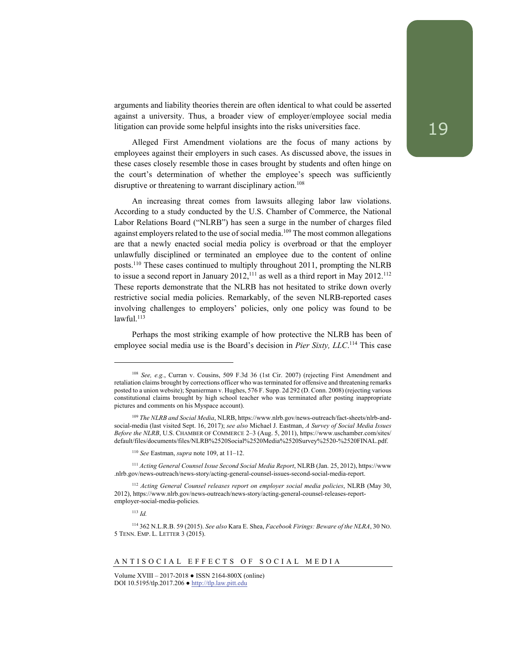arguments and liability theories therein are often identical to what could be asserted against a university. Thus, a broader view of employer/employee social media litigation can provide some helpful insights into the risks universities face.

Alleged First Amendment violations are the focus of many actions by employees against their employers in such cases. As discussed above, the issues in these cases closely resemble those in cases brought by students and often hinge on the court's determination of whether the employee's speech was sufficiently disruptive or threatening to warrant disciplinary action.<sup>108</sup>

An increasing threat comes from lawsuits alleging labor law violations. According to a study conducted by the U.S. Chamber of Commerce, the National Labor Relations Board ("NLRB") has seen a surge in the number of charges filed against employers related to the use of social media.<sup>109</sup> The most common allegations are that a newly enacted social media policy is overbroad or that the employer unlawfully disciplined or terminated an employee due to the content of online posts.110 These cases continued to multiply throughout 2011, prompting the NLRB to issue a second report in January 2012,<sup>111</sup> as well as a third report in May 2012.<sup>112</sup> These reports demonstrate that the NLRB has not hesitated to strike down overly restrictive social media policies. Remarkably, of the seven NLRB-reported cases involving challenges to employers' policies, only one policy was found to be lawful.<sup>113</sup>

Perhaps the most striking example of how protective the NLRB has been of employee social media use is the Board's decision in *Pier Sixty, LLC*.<sup>114</sup> This case

 $113$  *Id.* 

<sup>108</sup> *See, e.g.*, Curran v. Cousins, 509 F.3d 36 (1st Cir. 2007) (rejecting First Amendment and retaliation claims brought by corrections officer who was terminated for offensive and threatening remarks posted to a union website); Spanierman v. Hughes, 576 F. Supp. 2d 292 (D. Conn. 2008) (rejecting various constitutional claims brought by high school teacher who was terminated after posting inappropriate pictures and comments on his Myspace account).

<sup>109</sup> *The NLRB and Social Media*, NLRB, https://www.nlrb.gov/news-outreach/fact-sheets/nlrb-andsocial-media (last visited Sept. 16, 2017); *see also* Michael J. Eastman, *A Survey of Social Media Issues Before the NLRB*, U.S. CHAMBER OF COMMERCE 2–3 (Aug. 5, 2011), https://www.uschamber.com/sites/ default/files/documents/files/NLRB%2520Social%2520Media%2520Survey%2520-%2520FINAL.pdf.

<sup>110</sup> *See* Eastman, *supra* note 109, at 11–12.

<sup>111</sup> *Acting General Counsel Issue Second Social Media Report*, NLRB (Jan. 25, 2012), https://www .nlrb.gov/news-outreach/news-story/acting-general-counsel-issues-second-social-media-report.

<sup>112</sup> *Acting General Counsel releases report on employer social media policies*, NLRB (May 30, 2012), https://www.nlrb.gov/news-outreach/news-story/acting-general-counsel-releases-reportemployer-social-media-policies.

<sup>114 362</sup> N.L.R.B. 59 (2015). *See also* Kara E. Shea, *Facebook Firings: Beware of the NLRA*, 30 NO. 5 TENN. EMP. L. LETTER 3 (2015).

Volume XVIII – 2017-2018 ● ISSN 2164-800X (online) DOI 10.5195/tlp.2017.206 ● http://tlp.law.pitt.edu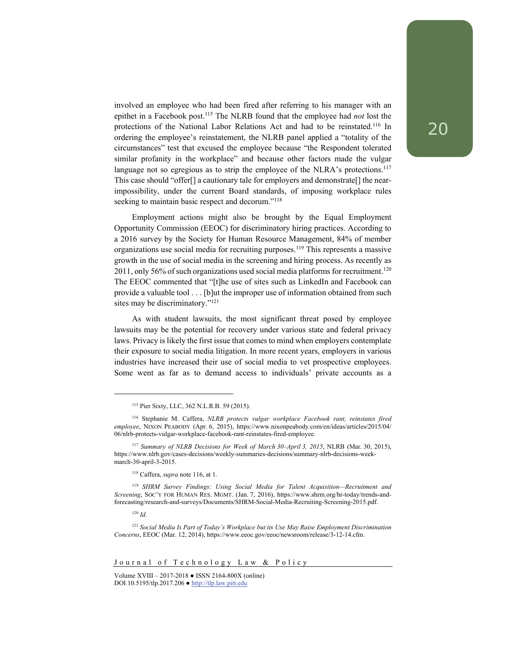involved an employee who had been fired after referring to his manager with an epithet in a Facebook post.115 The NLRB found that the employee had *not* lost the protections of the National Labor Relations Act and had to be reinstated.<sup>116</sup> In ordering the employee's reinstatement, the NLRB panel applied a "totality of the circumstances" test that excused the employee because "the Respondent tolerated similar profanity in the workplace" and because other factors made the vulgar language not so egregious as to strip the employee of the NLRA's protections.<sup>117</sup> This case should "offer[] a cautionary tale for employers and demonstrate[] the nearimpossibility, under the current Board standards, of imposing workplace rules seeking to maintain basic respect and decorum."<sup>118</sup>

Employment actions might also be brought by the Equal Employment Opportunity Commission (EEOC) for discriminatory hiring practices. According to a 2016 survey by the Society for Human Resource Management, 84% of member organizations use social media for recruiting purposes.<sup>119</sup> This represents a massive growth in the use of social media in the screening and hiring process. As recently as 2011, only 56% of such organizations used social media platforms for recruitment.120 The EEOC commented that "[t]he use of sites such as LinkedIn and Facebook can provide a valuable tool . . . [b]ut the improper use of information obtained from such sites may be discriminatory."<sup>121</sup>

As with student lawsuits, the most significant threat posed by employee lawsuits may be the potential for recovery under various state and federal privacy laws. Privacy is likely the first issue that comes to mind when employers contemplate their exposure to social media litigation. In more recent years, employers in various industries have increased their use of social media to vet prospective employees. Some went as far as to demand access to individuals' private accounts as a

<sup>120</sup> *Id.*

<sup>115</sup> Pier Sixty, LLC, 362 N.L.R.B. 59 (2015).

<sup>116</sup> Stephanie M. Caffera, *NLRB protects vulgar workplace Facebook rant, reinstates fired employee*, NIXON PEABODY (Apr. 6, 2015), https://www.nixonpeabody.com/en/ideas/articles/2015/04/ 06/nlrb-protects-vulgar-workplace-facebook-rant-reinstates-fired-employee.

<sup>117</sup> *Summary of NLRB Decisions for Week of March 30–April 3, 2015*, NLRB (Mar. 30, 2015), https://www.nlrb.gov/cases-decisions/weekly-summaries-decisions/summary-nlrb-decisions-weekmarch-30-april-3-2015.

<sup>118</sup> Caffera, *supra* note 116, at 1.

<sup>119</sup> *SHRM Survey Findings: Using Social Media for Talent Acquisition—Recruitment and Screening*, SOC'Y FOR HUMAN RES. MGMT. (Jan. 7, 2016), https://www.shrm.org/hr-today/trends-andforecasting/research-and-surveys/Documents/SHRM-Social-Media-Recruiting-Screening-2015.pdf.

<sup>121</sup> *Social Media Is Part of Today's Workplace but its Use May Raise Employment Discrimination Concerns*, EEOC (Mar. 12, 2014), https://www.eeoc.gov/eeoc/newsroom/release/3-12-14.cfm.

Journal of Technolo gy Law & Policy

Volume XVIII – 2017-2018 ● ISSN 2164-800X (online) DOI 10.5195/tlp.2017.206 ● http://tlp.law.pitt.edu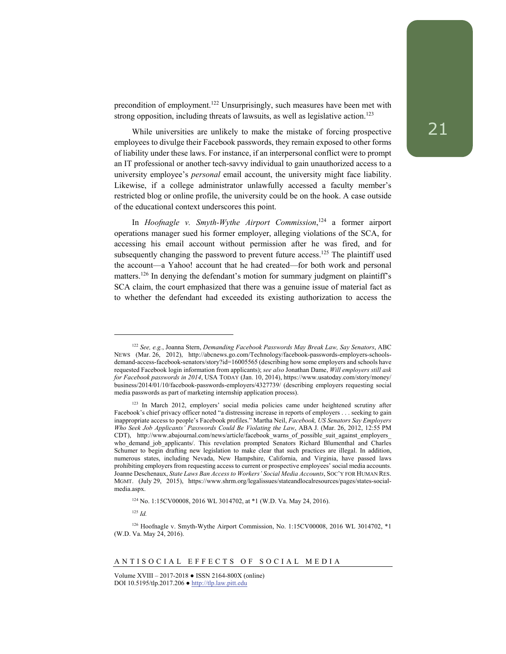precondition of employment.<sup>122</sup> Unsurprisingly, such measures have been met with strong opposition, including threats of lawsuits, as well as legislative action.<sup>123</sup>

While universities are unlikely to make the mistake of forcing prospective employees to divulge their Facebook passwords, they remain exposed to other forms of liability under these laws. For instance, if an interpersonal conflict were to prompt an IT professional or another tech-savvy individual to gain unauthorized access to a university employee's *personal* email account, the university might face liability. Likewise, if a college administrator unlawfully accessed a faculty member's restricted blog or online profile, the university could be on the hook. A case outside of the educational context underscores this point.

In *Hoofnagle v. Smyth-Wythe Airport Commission*, 124 a former airport operations manager sued his former employer, alleging violations of the SCA, for accessing his email account without permission after he was fired, and for subsequently changing the password to prevent future access.<sup>125</sup> The plaintiff used the account—a Yahoo! account that he had created—for both work and personal matters.<sup>126</sup> In denying the defendant's motion for summary judgment on plaintiff's SCA claim, the court emphasized that there was a genuine issue of material fact as to whether the defendant had exceeded its existing authorization to access the

124 No. 1:15CV00008, 2016 WL 3014702, at \*1 (W.D. Va. May 24, 2016).

<sup>125</sup> *Id.*

<sup>122</sup> *See, e.g.*, Joanna Stern, *Demanding Facebook Passwords May Break Law, Say Senators*, ABC NEWS (Mar. 26, 2012), http://abcnews.go.com/Technology/facebook-passwords-employers-schoolsdemand-access-facebook-senators/story?id=16005565 (describing how some employers and schools have requested Facebook login information from applicants); *see also* Jonathan Dame, *Will employers still ask for Facebook passwords in 2014*, USA TODAY (Jan. 10, 2014), https://www.usatoday.com/story/money/ business/2014/01/10/facebook-passwords-employers/4327739/ (describing employers requesting social media passwords as part of marketing internship application process).

<sup>&</sup>lt;sup>123</sup> In March 2012, employers' social media policies came under heightened scrutiny after Facebook's chief privacy officer noted "a distressing increase in reports of employers . . . seeking to gain inappropriate access to people's Facebook profiles." Martha Neil, *Facebook, US Senators Say Employers Who Seek Job Applicants' Passwords Could Be Violating the Law*, ABA J. (Mar. 26, 2012, 12:55 PM CDT), http://www.abajournal.com/news/article/facebook\_warns\_of\_possible\_suit\_against\_employers\_ who demand job applicants/. This revelation prompted Senators Richard Blumenthal and Charles Schumer to begin drafting new legislation to make clear that such practices are illegal. In addition, numerous states, including Nevada, New Hampshire, California, and Virginia, have passed laws prohibiting employers from requesting access to current or prospective employees' social media accounts. Joanne Deschenaux, *State Laws Ban Access to Workers' Social Media Accounts*, SOC'Y FOR HUMAN RES. MGMT. (July 29, 2015), https://www.shrm.org/legalissues/stateandlocalresources/pages/states-socialmedia.aspx.

<sup>126</sup> Hoofnagle v. Smyth-Wythe Airport Commission, No. 1:15CV00008, 2016 WL 3014702, \*1 (W.D. Va. May 24, 2016).

Volume XVIII – 2017-2018 ● ISSN 2164-800X (online) DOI 10.5195/tlp.2017.206 ● http://tlp.law.pitt.edu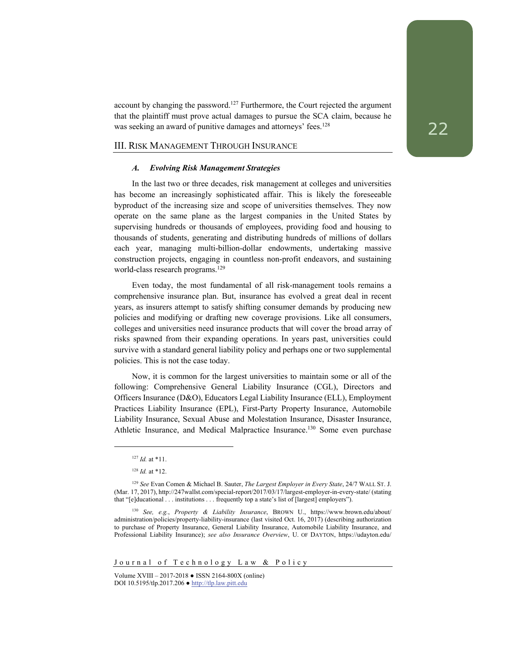account by changing the password.127 Furthermore, the Court rejected the argument that the plaintiff must prove actual damages to pursue the SCA claim, because he was seeking an award of punitive damages and attorneys' fees.<sup>128</sup>

# III. RISK MANAGEMENT THROUGH INSURANCE

# *A. Evolving Risk Management Strategies*

In the last two or three decades, risk management at colleges and universities has become an increasingly sophisticated affair. This is likely the foreseeable byproduct of the increasing size and scope of universities themselves. They now operate on the same plane as the largest companies in the United States by supervising hundreds or thousands of employees, providing food and housing to thousands of students, generating and distributing hundreds of millions of dollars each year, managing multi-billion-dollar endowments, undertaking massive construction projects, engaging in countless non-profit endeavors, and sustaining world-class research programs.129

Even today, the most fundamental of all risk-management tools remains a comprehensive insurance plan. But, insurance has evolved a great deal in recent years, as insurers attempt to satisfy shifting consumer demands by producing new policies and modifying or drafting new coverage provisions. Like all consumers, colleges and universities need insurance products that will cover the broad array of risks spawned from their expanding operations. In years past, universities could survive with a standard general liability policy and perhaps one or two supplemental policies. This is not the case today.

Now, it is common for the largest universities to maintain some or all of the following: Comprehensive General Liability Insurance (CGL), Directors and Officers Insurance (D&O), Educators Legal Liability Insurance (ELL), Employment Practices Liability Insurance (EPL), First-Party Property Insurance, Automobile Liability Insurance, Sexual Abuse and Molestation Insurance, Disaster Insurance, Athletic Insurance, and Medical Malpractice Insurance.<sup>130</sup> Some even purchase

l

Journal of Technolo gy Law & Policy

<sup>127</sup> *Id.* at \*11.

<sup>128</sup> *Id.* at \*12.

<sup>129</sup> *See* Evan Comen & Michael B. Sauter, *The Largest Employer in Every State*, 24/7 WALL ST. J. (Mar. 17, 2017), http://247wallst.com/special-report/2017/03/17/largest-employer-in-every-state/ (stating that "[e]ducational . . . institutions . . . frequently top a state's list of [largest] employers").

<sup>130</sup> *See, e.g.*, *Property & Liability Insurance*, BROWN U., https://www.brown.edu/about/ administration/policies/property-liability-insurance (last visited Oct. 16, 2017) (describing authorization to purchase of Property Insurance, General Liability Insurance, Automobile Liability Insurance, and Professional Liability Insurance); *see also Insurance Overview*, U. OF DAYTON, https://udayton.edu/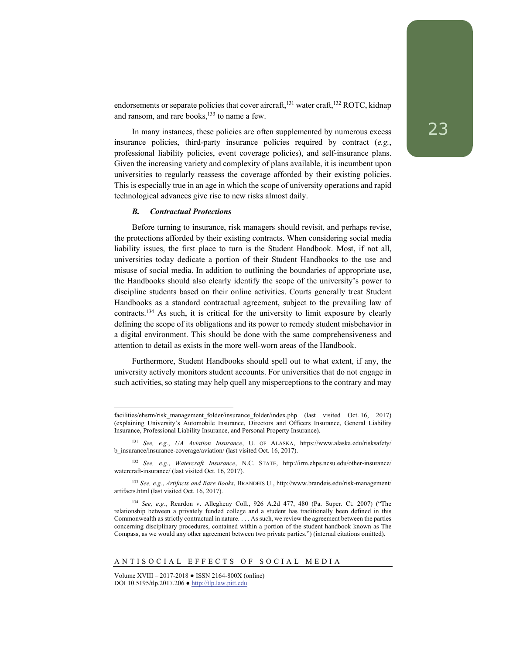endorsements or separate policies that cover aircraft,<sup>131</sup> water craft,<sup>132</sup> ROTC, kidnap and ransom, and rare books,<sup>133</sup> to name a few.

In many instances, these policies are often supplemented by numerous excess insurance policies, third-party insurance policies required by contract (*e.g.*, professional liability policies, event coverage policies), and self-insurance plans. Given the increasing variety and complexity of plans available, it is incumbent upon universities to regularly reassess the coverage afforded by their existing policies. This is especially true in an age in which the scope of university operations and rapid technological advances give rise to new risks almost daily.

#### *B. Contractual Protections*

l

Before turning to insurance, risk managers should revisit, and perhaps revise, the protections afforded by their existing contracts. When considering social media liability issues, the first place to turn is the Student Handbook. Most, if not all, universities today dedicate a portion of their Student Handbooks to the use and misuse of social media. In addition to outlining the boundaries of appropriate use, the Handbooks should also clearly identify the scope of the university's power to discipline students based on their online activities. Courts generally treat Student Handbooks as a standard contractual agreement, subject to the prevailing law of contracts.134 As such, it is critical for the university to limit exposure by clearly defining the scope of its obligations and its power to remedy student misbehavior in a digital environment. This should be done with the same comprehensiveness and attention to detail as exists in the more well-worn areas of the Handbook.

Furthermore, Student Handbooks should spell out to what extent, if any, the university actively monitors student accounts. For universities that do not engage in such activities, so stating may help quell any misperceptions to the contrary and may

facilities/ehsrm/risk\_management\_folder/insurance\_folder/index.php (last visited Oct. 16, 2017) (explaining University's Automobile Insurance, Directors and Officers Insurance, General Liability Insurance, Professional Liability Insurance, and Personal Property Insurance).

<sup>131</sup> *See, e.g.*, *UA Aviation Insurance*, U. OF ALASKA, https://www.alaska.edu/risksafety/ b\_insurance/insurance-coverage/aviation/ (last visited Oct. 16, 2017).

<sup>132</sup> *See, e.g.*, *Watercraft Insurance*, N.C. STATE, http://irm.ehps.ncsu.edu/other-insurance/ watercraft-insurance/ (last visited Oct. 16, 2017).

<sup>133</sup> *See, e.g.*, *Artifacts and Rare Books*, BRANDEIS U., http://www.brandeis.edu/risk-management/ artifacts.html (last visited Oct. 16, 2017).

<sup>134</sup> *See, e.g.*, Reardon v. Allegheny Coll., 926 A.2d 477, 480 (Pa. Super. Ct. 2007) ("The relationship between a privately funded college and a student has traditionally been defined in this Commonwealth as strictly contractual in nature. . . . As such, we review the agreement between the parties concerning disciplinary procedures, contained within a portion of the student handbook known as The Compass, as we would any other agreement between two private parties.") (internal citations omitted).

Volume XVIII – 2017-2018 ● ISSN 2164-800X (online) DOI 10.5195/tlp.2017.206 ● http://tlp.law.pitt.edu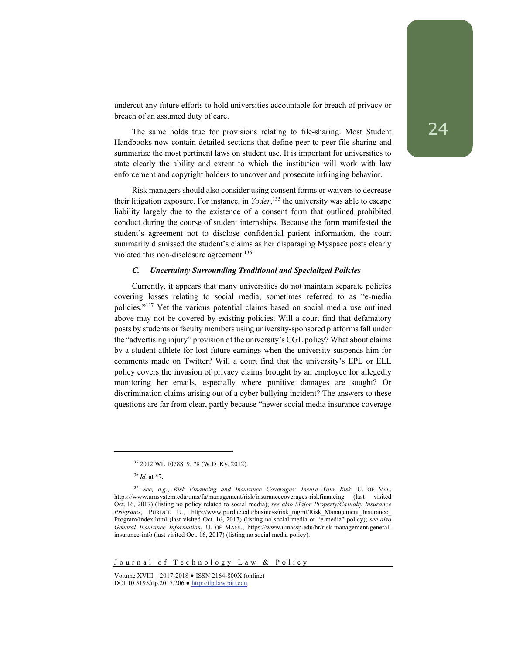undercut any future efforts to hold universities accountable for breach of privacy or breach of an assumed duty of care.

The same holds true for provisions relating to file-sharing. Most Student Handbooks now contain detailed sections that define peer-to-peer file-sharing and summarize the most pertinent laws on student use. It is important for universities to state clearly the ability and extent to which the institution will work with law enforcement and copyright holders to uncover and prosecute infringing behavior.

Risk managers should also consider using consent forms or waivers to decrease their litigation exposure. For instance, in *Yoder*, 135 the university was able to escape liability largely due to the existence of a consent form that outlined prohibited conduct during the course of student internships. Because the form manifested the student's agreement not to disclose confidential patient information, the court summarily dismissed the student's claims as her disparaging Myspace posts clearly violated this non-disclosure agreement.<sup>136</sup>

### *C. Uncertainty Surrounding Traditional and Specialized Policies*

Currently, it appears that many universities do not maintain separate policies covering losses relating to social media, sometimes referred to as "e-media policies."137 Yet the various potential claims based on social media use outlined above may not be covered by existing policies. Will a court find that defamatory posts by students or faculty members using university-sponsored platforms fall under the "advertising injury" provision of the university's CGL policy? What about claims by a student-athlete for lost future earnings when the university suspends him for comments made on Twitter? Will a court find that the university's EPL or ELL policy covers the invasion of privacy claims brought by an employee for allegedly monitoring her emails, especially where punitive damages are sought? Or discrimination claims arising out of a cyber bullying incident? The answers to these questions are far from clear, partly because "newer social media insurance coverage

l

Journal of Technolo gy Law & Policy

<sup>135 2012</sup> WL 1078819, \*8 (W.D. Ky. 2012).

<sup>136</sup> *Id.* at \*7.

<sup>137</sup> *See, e.g.*, *Risk Financing and Insurance Coverages: Insure Your Risk*, U. OF MO., https://www.umsystem.edu/ums/fa/management/risk/insurancecoverages-riskfinancing (last visited Oct. 16, 2017) (listing no policy related to social media); *see also Major Property/Casualty Insurance Programs*, PURDUE U., http://www.purdue.edu/business/risk\_mgmt/Risk\_Management\_Insurance\_ Program/index.html (last visited Oct. 16, 2017) (listing no social media or "e-media" policy); *see also General Insurance Information*, U. OF MASS., https://www.umassp.edu/hr/risk-management/generalinsurance-info (last visited Oct. 16, 2017) (listing no social media policy).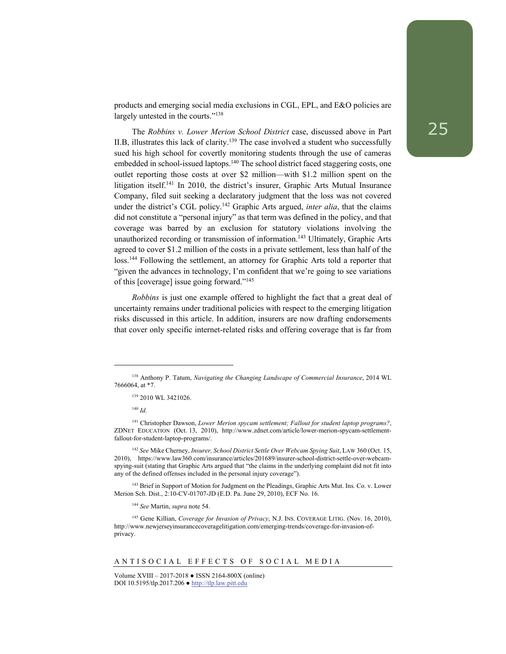products and emerging social media exclusions in CGL, EPL, and E&O policies are largely untested in the courts."<sup>138</sup>

The *Robbins v. Lower Merion School District* case, discussed above in Part II.B, illustrates this lack of clarity.<sup>139</sup> The case involved a student who successfully sued his high school for covertly monitoring students through the use of cameras embedded in school-issued laptops.<sup>140</sup> The school district faced staggering costs, one outlet reporting those costs at over \$2 million—with \$1.2 million spent on the litigation itself.141 In 2010, the district's insurer, Graphic Arts Mutual Insurance Company, filed suit seeking a declaratory judgment that the loss was not covered under the district's CGL policy.142 Graphic Arts argued, *inter alia*, that the claims did not constitute a "personal injury" as that term was defined in the policy, and that coverage was barred by an exclusion for statutory violations involving the unauthorized recording or transmission of information.<sup>143</sup> Ultimately, Graphic Arts agreed to cover \$1.2 million of the costs in a private settlement, less than half of the loss.<sup>144</sup> Following the settlement, an attorney for Graphic Arts told a reporter that "given the advances in technology, I'm confident that we're going to see variations of this [coverage] issue going forward."145

*Robbins* is just one example offered to highlight the fact that a great deal of uncertainty remains under traditional policies with respect to the emerging litigation risks discussed in this article. In addition, insurers are now drafting endorsements that cover only specific internet-related risks and offering coverage that is far from

l

<sup>142</sup> *See* Mike Cherney, *Insurer, School District Settle Over Webcam Spying Suit*, LAW 360 (Oct. 15, 2010), https://www.law360.com/insurance/articles/201689/insurer-school-district-settle-over-webcamspying-suit (stating that Graphic Arts argued that "the claims in the underlying complaint did not fit into any of the defined offenses included in the personal injury coverage").

<sup>143</sup> Brief in Support of Motion for Judgment on the Pleadings, Graphic Arts Mut. Ins. Co. v. Lower Merion Sch. Dist., 2:10-CV-01707-JD (E.D. Pa. June 29, 2010), ECF No. 16.

<sup>144</sup> *See* Martin, *supra* note 54.

145 Gene Killian, *Coverage for Invasion of Privacy*, N.J. INS. COVERAGE LITIG. (Nov. 16, 2010), http://www.newjerseyinsurancecoveragelitigation.com/emerging-trends/coverage-for-invasion-ofprivacy.

<sup>138</sup> Anthony P. Tatum, *Navigating the Changing Landscape of Commercial Insurance*, 2014 WL 7666064, at \*7.

<sup>139 2010</sup> WL 3421026.

<sup>140</sup> *Id.*

<sup>141</sup> Christopher Dawson, *Lower Merion spycam settlement; Fallout for student laptop programs?*, ZDNET EDUCATION (Oct. 13, 2010), http://www.zdnet.com/article/lower-merion-spycam-settlementfallout-for-student-laptop-programs/.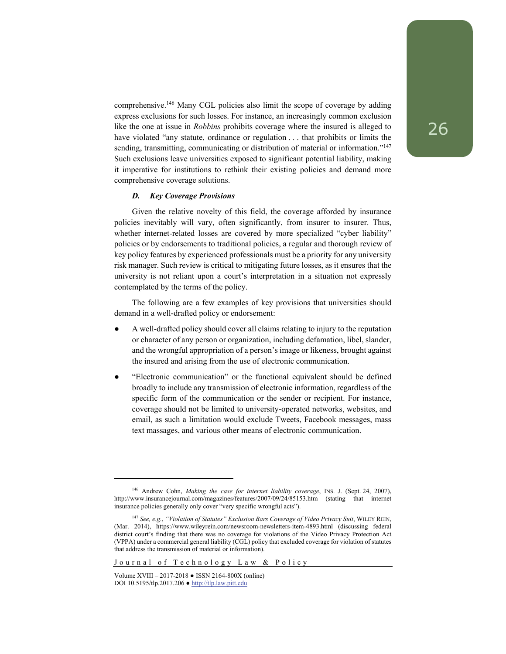comprehensive.146 Many CGL policies also limit the scope of coverage by adding express exclusions for such losses. For instance, an increasingly common exclusion like the one at issue in *Robbins* prohibits coverage where the insured is alleged to have violated "any statute, ordinance or regulation . . . that prohibits or limits the sending, transmitting, communicating or distribution of material or information."<sup>147</sup> Such exclusions leave universities exposed to significant potential liability, making it imperative for institutions to rethink their existing policies and demand more comprehensive coverage solutions.

#### *D. Key Coverage Provisions*

Given the relative novelty of this field, the coverage afforded by insurance policies inevitably will vary, often significantly, from insurer to insurer. Thus, whether internet-related losses are covered by more specialized "cyber liability" policies or by endorsements to traditional policies, a regular and thorough review of key policy features by experienced professionals must be a priority for any university risk manager. Such review is critical to mitigating future losses, as it ensures that the university is not reliant upon a court's interpretation in a situation not expressly contemplated by the terms of the policy.

The following are a few examples of key provisions that universities should demand in a well-drafted policy or endorsement:

- A well-drafted policy should cover all claims relating to injury to the reputation or character of any person or organization, including defamation, libel, slander, and the wrongful appropriation of a person's image or likeness, brought against the insured and arising from the use of electronic communication.
- "Electronic communication" or the functional equivalent should be defined broadly to include any transmission of electronic information, regardless of the specific form of the communication or the sender or recipient. For instance, coverage should not be limited to university-operated networks, websites, and email, as such a limitation would exclude Tweets, Facebook messages, mass text massages, and various other means of electronic communication.

<sup>146</sup> Andrew Cohn, *Making the case for internet liability coverage*, INS. J. (Sept. 24, 2007), http://www.insurancejournal.com/magazines/features/2007/09/24/85153.htm (stating that internet insurance policies generally only cover "very specific wrongful acts").

<sup>147</sup> *See, e.g.*, *"Violation of Statutes" Exclusion Bars Coverage of Video Privacy Suit*, WILEY REIN, (Mar. 2014), https://www.wileyrein.com/newsroom-newsletters-item-4893.html (discussing federal district court's finding that there was no coverage for violations of the Video Privacy Protection Act (VPPA) under a commercial general liability (CGL) policy that excluded coverage for violation of statutes that address the transmission of material or information).

Journal of Technolo gy Law & Policy

Volume XVIII – 2017-2018 ● ISSN 2164-800X (online) DOI 10.5195/tlp.2017.206 ● http://tlp.law.pitt.edu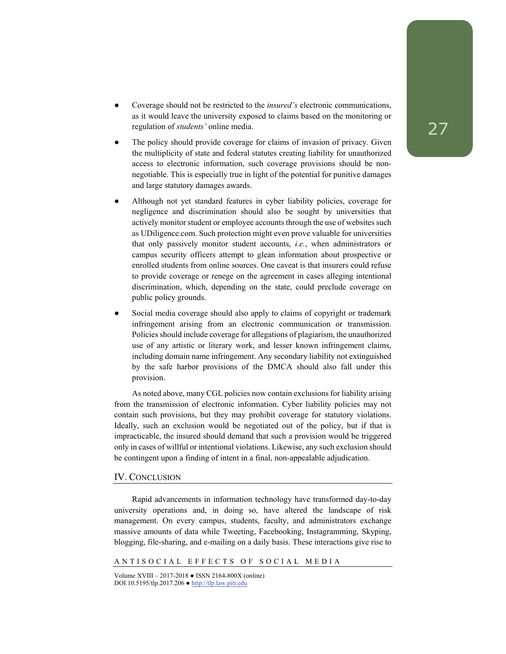- Coverage should not be restricted to the *insured's* electronic communications, as it would leave the university exposed to claims based on the monitoring or regulation of *students'* online media.
- The policy should provide coverage for claims of invasion of privacy. Given the multiplicity of state and federal statutes creating liability for unauthorized access to electronic information, such coverage provisions should be nonnegotiable. This is especially true in light of the potential for punitive damages and large statutory damages awards.
- Although not yet standard features in cyber liability policies, coverage for negligence and discrimination should also be sought by universities that actively monitor student or employee accounts through the use of websites such as UDiligence.com. Such protection might even prove valuable for universities that only passively monitor student accounts, *i.e.*, when administrators or campus security officers attempt to glean information about prospective or enrolled students from online sources. One caveat is that insurers could refuse to provide coverage or renege on the agreement in cases alleging intentional discrimination, which, depending on the state, could preclude coverage on public policy grounds.
- Social media coverage should also apply to claims of copyright or trademark infringement arising from an electronic communication or transmission. Policies should include coverage for allegations of plagiarism, the unauthorized use of any artistic or literary work, and lesser known infringement claims, including domain name infringement. Any secondary liability not extinguished by the safe harbor provisions of the DMCA should also fall under this provision.

As noted above, many CGL policies now contain exclusions for liability arising from the transmission of electronic information. Cyber liability policies may not contain such provisions, but they may prohibit coverage for statutory violations. Ideally, such an exclusion would be negotiated out of the policy, but if that is impracticable, the insured should demand that such a provision would be triggered only in cases of willful or intentional violations. Likewise, any such exclusion should be contingent upon a finding of intent in a final, non-appealable adjudication.

# IV. CONCLUSION

Rapid advancements in information technology have transformed day-to-day university operations and, in doing so, have altered the landscape of risk management. On every campus, students, faculty, and administrators exchange massive amounts of data while Tweeting, Facebooking, Instagramming, Skyping, blogging, file-sharing, and e-mailing on a daily basis. These interactions give rise to

ANTISOCIAL EFFECTS OF SOCIAL MEDIA